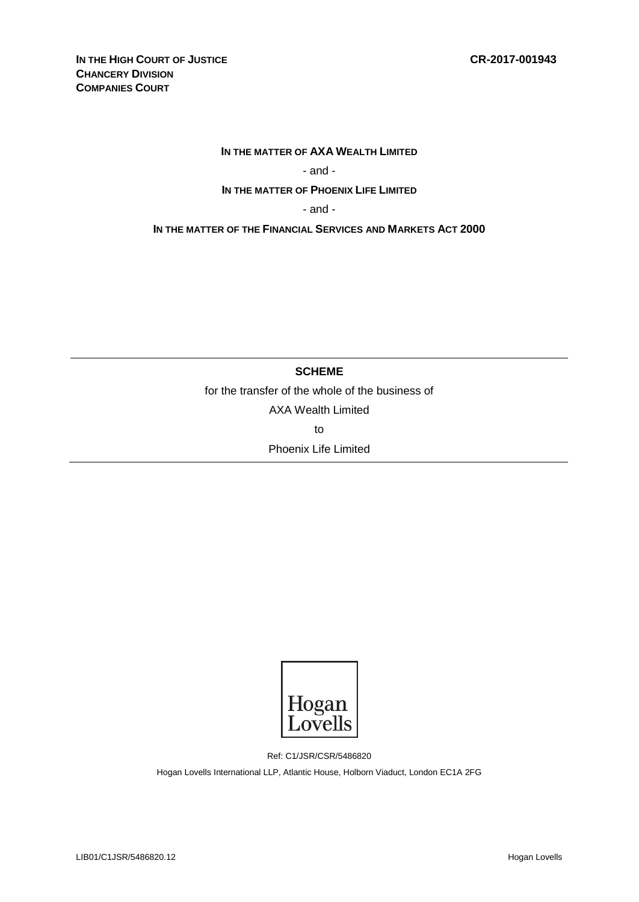#### **IN THE MATTER OF AXA WEALTH LIMITED**

## - and -

### **IN THE MATTER OF PHOENIX LIFE LIMITED**

- and -

**IN THE MATTER OF THE FINANCIAL SERVICES AND MARKETS ACT 2000**

## **SCHEME**

for the transfer of the whole of the business of

AXA Wealth Limited

to

Phoenix Life Limited



Ref: C1/JSR/CSR/5486820

Hogan Lovells International LLP, Atlantic House, Holborn Viaduct, London EC1A 2FG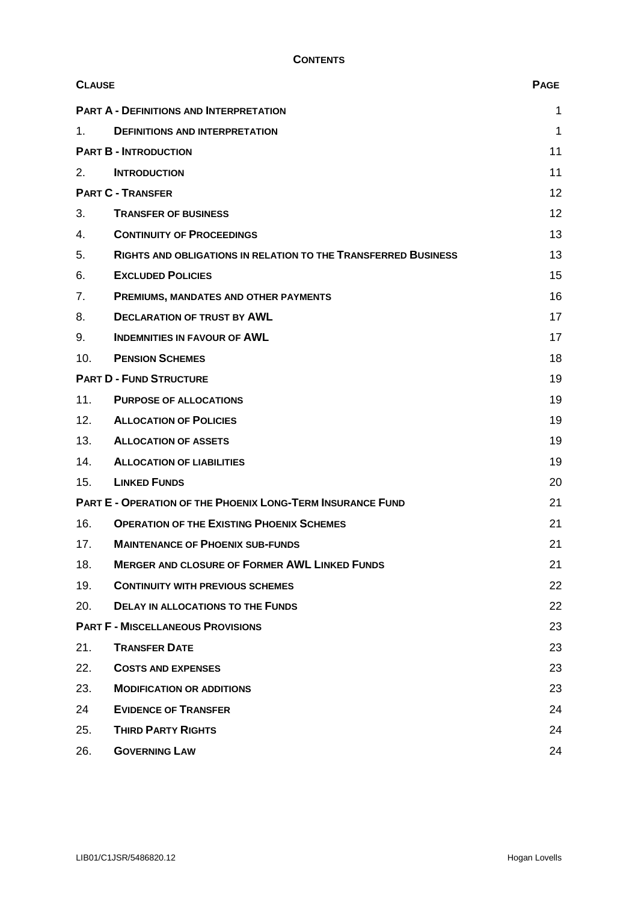| <b>CLAUSE</b>                                                     |                                                                       | <b>PAGE</b> |
|-------------------------------------------------------------------|-----------------------------------------------------------------------|-------------|
|                                                                   | <b>PART A - DEFINITIONS AND INTERPRETATION</b>                        | 1           |
| 1.                                                                | <b>DEFINITIONS AND INTERPRETATION</b>                                 | 1           |
| <b>PART B - INTRODUCTION</b>                                      |                                                                       | 11          |
| 2.                                                                | <b>INTRODUCTION</b>                                                   | 11          |
| <b>PART C - TRANSFER</b>                                          |                                                                       | 12          |
| 3.                                                                | <b>TRANSFER OF BUSINESS</b>                                           | 12          |
| 4.                                                                | <b>CONTINUITY OF PROCEEDINGS</b>                                      | 13          |
| 5.                                                                | <b>RIGHTS AND OBLIGATIONS IN RELATION TO THE TRANSFERRED BUSINESS</b> | 13          |
| 6.                                                                | <b>EXCLUDED POLICIES</b>                                              | 15          |
| 7.                                                                | PREMIUMS, MANDATES AND OTHER PAYMENTS                                 | 16          |
| 8.                                                                | <b>DECLARATION OF TRUST BY AWL</b>                                    | 17          |
| 9.                                                                | <b>INDEMNITIES IN FAVOUR OF AWL</b>                                   | 17          |
| 10.                                                               | <b>PENSION SCHEMES</b>                                                | 18          |
| <b>PART D - FUND STRUCTURE</b>                                    |                                                                       | 19          |
| 11.                                                               | <b>PURPOSE OF ALLOCATIONS</b>                                         | 19          |
| 12.                                                               | <b>ALLOCATION OF POLICIES</b>                                         | 19          |
| 13.                                                               | <b>ALLOCATION OF ASSETS</b>                                           | 19          |
| 14.                                                               | <b>ALLOCATION OF LIABILITIES</b>                                      | 19          |
| 15.                                                               | <b>LINKED FUNDS</b>                                                   | 20          |
| <b>PART E - OPERATION OF THE PHOENIX LONG-TERM INSURANCE FUND</b> |                                                                       | 21          |
| 16.                                                               | <b>OPERATION OF THE EXISTING PHOENIX SCHEMES</b>                      | 21          |
| 17.                                                               | <b>MAINTENANCE OF PHOENIX SUB-FUNDS</b>                               | 21          |
| 18.                                                               | <b>MERGER AND CLOSURE OF FORMER AWL LINKED FUNDS</b>                  | 21          |
| 19.                                                               | <b>CONTINUITY WITH PREVIOUS SCHEMES</b>                               | 22          |
| 20.                                                               | <b>DELAY IN ALLOCATIONS TO THE FUNDS</b>                              | 22          |
| <b>PART F - MISCELLANEOUS PROVISIONS</b>                          |                                                                       | 23          |
| 21.                                                               | <b>TRANSFER DATE</b>                                                  | 23          |
| 22.                                                               | <b>COSTS AND EXPENSES</b>                                             | 23          |
| 23.                                                               | <b>MODIFICATION OR ADDITIONS</b>                                      | 23          |
| 24                                                                | <b>EVIDENCE OF TRANSFER</b>                                           | 24          |
| 25.                                                               | <b>THIRD PARTY RIGHTS</b>                                             | 24          |
| 26.                                                               | <b>GOVERNING LAW</b>                                                  | 24          |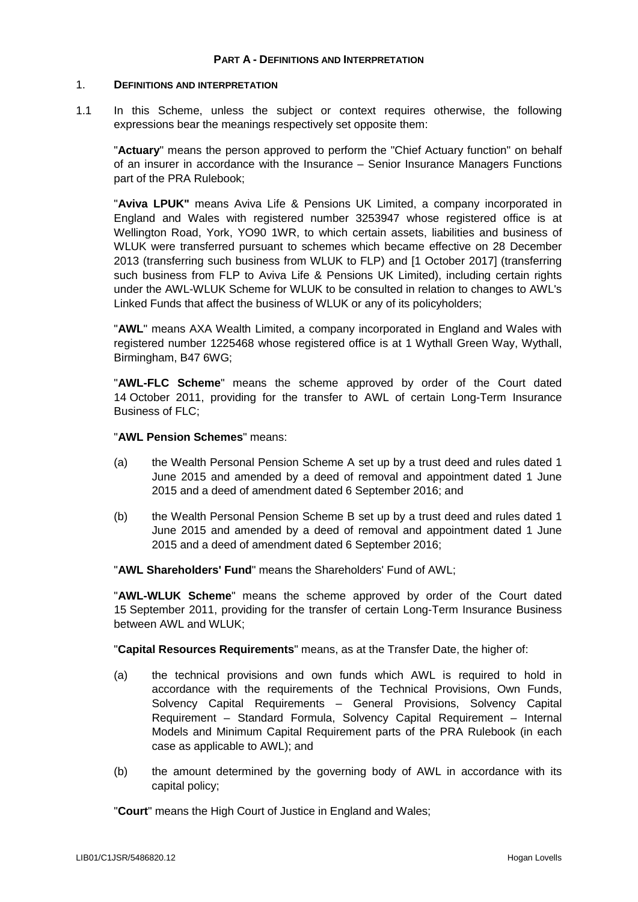#### **PART A - DEFINITIONS AND INTERPRETATION**

#### 1. **DEFINITIONS AND INTERPRETATION**

1.1 In this Scheme, unless the subject or context requires otherwise, the following expressions bear the meanings respectively set opposite them:

"**Actuary**" means the person approved to perform the "Chief Actuary function" on behalf of an insurer in accordance with the Insurance – Senior Insurance Managers Functions part of the PRA Rulebook;

"**Aviva LPUK"** means Aviva Life & Pensions UK Limited, a company incorporated in England and Wales with registered number 3253947 whose registered office is at Wellington Road, York, YO90 1WR, to which certain assets, liabilities and business of WLUK were transferred pursuant to schemes which became effective on 28 December 2013 (transferring such business from WLUK to FLP) and [1 October 2017] (transferring such business from FLP to Aviva Life & Pensions UK Limited), including certain rights under the AWL-WLUK Scheme for WLUK to be consulted in relation to changes to AWL's Linked Funds that affect the business of WLUK or any of its policyholders;

"**AWL**" means AXA Wealth Limited, a company incorporated in England and Wales with registered number 1225468 whose registered office is at 1 Wythall Green Way, Wythall, Birmingham, B47 6WG;

"**AWL-FLC Scheme**" means the scheme approved by order of the Court dated 14 October 2011, providing for the transfer to AWL of certain Long-Term Insurance Business of FLC;

# "**AWL Pension Schemes**" means:

- (a) the Wealth Personal Pension Scheme A set up by a trust deed and rules dated 1 June 2015 and amended by a deed of removal and appointment dated 1 June 2015 and a deed of amendment dated 6 September 2016; and
- (b) the Wealth Personal Pension Scheme B set up by a trust deed and rules dated 1 June 2015 and amended by a deed of removal and appointment dated 1 June 2015 and a deed of amendment dated 6 September 2016;

"**AWL Shareholders' Fund**" means the Shareholders' Fund of AWL;

"**AWL-WLUK Scheme**" means the scheme approved by order of the Court dated 15 September 2011, providing for the transfer of certain Long-Term Insurance Business between AWL and WLUK;

"**Capital Resources Requirements**" means, as at the Transfer Date, the higher of:

- (a) the technical provisions and own funds which AWL is required to hold in accordance with the requirements of the Technical Provisions, Own Funds, Solvency Capital Requirements – General Provisions, Solvency Capital Requirement – Standard Formula, Solvency Capital Requirement – Internal Models and Minimum Capital Requirement parts of the PRA Rulebook (in each case as applicable to AWL); and
- (b) the amount determined by the governing body of AWL in accordance with its capital policy;

"**Court**" means the High Court of Justice in England and Wales;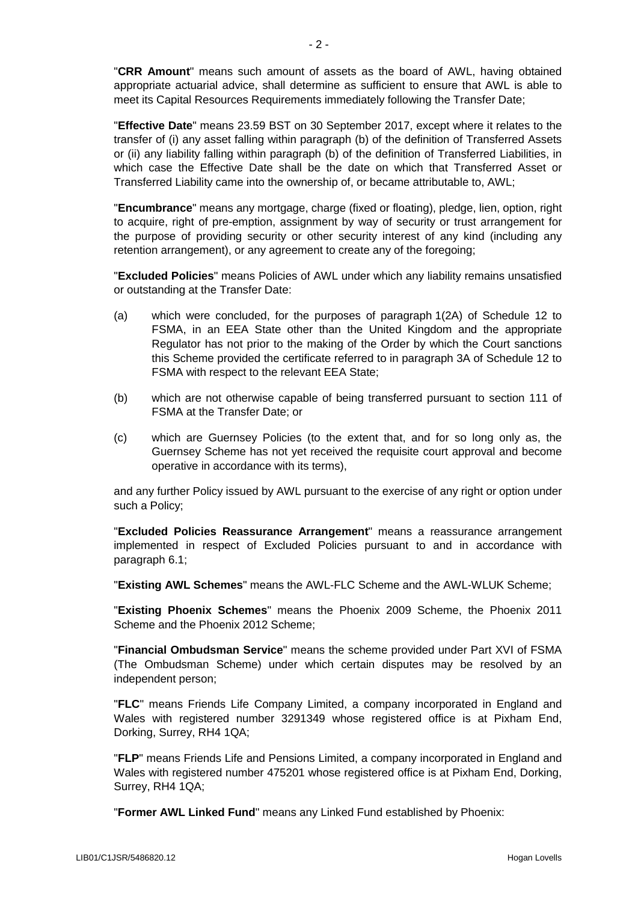"**CRR Amount**" means such amount of assets as the board of AWL, having obtained appropriate actuarial advice, shall determine as sufficient to ensure that AWL is able to meet its Capital Resources Requirements immediately following the Transfer Date;

"**Effective Date**" means 23.59 BST on 30 September 2017, except where it relates to the transfer of (i) any asset falling within paragraph (b) of the definition of Transferred Assets or (ii) any liability falling within paragraph (b) of the definition of Transferred Liabilities, in which case the Effective Date shall be the date on which that Transferred Asset or Transferred Liability came into the ownership of, or became attributable to, AWL;

"**Encumbrance**" means any mortgage, charge (fixed or floating), pledge, lien, option, right to acquire, right of pre-emption, assignment by way of security or trust arrangement for the purpose of providing security or other security interest of any kind (including any retention arrangement), or any agreement to create any of the foregoing;

"**Excluded Policies**" means Policies of AWL under which any liability remains unsatisfied or outstanding at the Transfer Date:

- (a) which were concluded, for the purposes of paragraph 1(2A) of Schedule 12 to FSMA, in an EEA State other than the United Kingdom and the appropriate Regulator has not prior to the making of the Order by which the Court sanctions this Scheme provided the certificate referred to in paragraph 3A of Schedule 12 to FSMA with respect to the relevant EEA State;
- (b) which are not otherwise capable of being transferred pursuant to section 111 of FSMA at the Transfer Date; or
- (c) which are Guernsey Policies (to the extent that, and for so long only as, the Guernsey Scheme has not yet received the requisite court approval and become operative in accordance with its terms),

and any further Policy issued by AWL pursuant to the exercise of any right or option under such a Policy;

"**Excluded Policies Reassurance Arrangement**" means a reassurance arrangement implemented in respect of Excluded Policies pursuant to and in accordance with paragraph [6.1;](#page-16-0)

"**Existing AWL Schemes**" means the AWL-FLC Scheme and the AWL-WLUK Scheme;

"**Existing Phoenix Schemes**" means the Phoenix 2009 Scheme, the Phoenix 2011 Scheme and the Phoenix 2012 Scheme;

"**Financial Ombudsman Service**" means the scheme provided under Part XVI of FSMA (The Ombudsman Scheme) under which certain disputes may be resolved by an independent [person;](https://www.handbook.fca.org.uk/handbook/glossary/G869.html)

"**FLC**" means Friends Life Company Limited, a company incorporated in England and Wales with registered number 3291349 whose registered office is at Pixham End, Dorking, Surrey, RH4 1QA;

"**FLP**" means Friends Life and Pensions Limited, a company incorporated in England and Wales with registered number 475201 whose registered office is at Pixham End, Dorking, Surrey, RH4 1QA;

"**Former AWL Linked Fund**" means any Linked Fund established by Phoenix: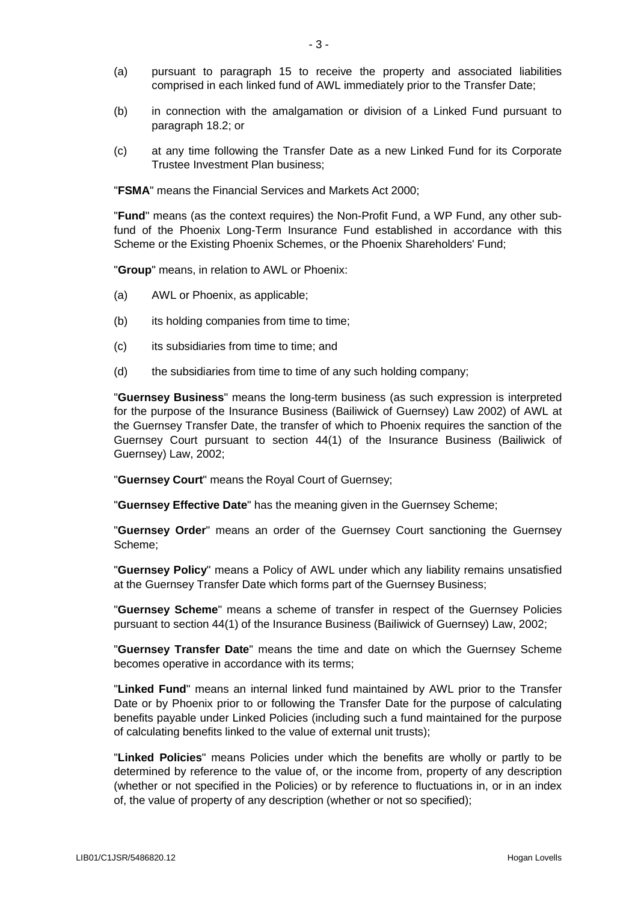- (a) pursuant to paragraph [15](#page-21-0) to receive the property and associated liabilities comprised in each linked fund of AWL immediately prior to the Transfer Date;
- (b) in connection with the amalgamation or division of a Linked Fund pursuant to paragraph [18.2;](#page-22-0) or
- (c) at any time following the Transfer Date as a new Linked Fund for its Corporate Trustee Investment Plan business;

"**FSMA**" means the Financial Services and Markets Act 2000;

"**Fund**" means (as the context requires) the Non-Profit Fund, a WP Fund, any other subfund of the Phoenix Long-Term Insurance Fund established in accordance with this Scheme or the Existing Phoenix Schemes, or the Phoenix Shareholders' Fund;

"**Group**" means, in relation to AWL or Phoenix:

- (a) AWL or Phoenix, as applicable;
- (b) its holding companies from time to time;
- (c) its subsidiaries from time to time; and
- (d) the subsidiaries from time to time of any such holding company;

"**Guernsey Business**" means the long-term business (as such expression is interpreted for the purpose of the Insurance Business (Bailiwick of Guernsey) Law 2002) of AWL at the Guernsey Transfer Date, the transfer of which to Phoenix requires the sanction of the Guernsey Court pursuant to section 44(1) of the Insurance Business (Bailiwick of Guernsey) Law, 2002;

"**Guernsey Court**" means the Royal Court of Guernsey;

"**Guernsey Effective Date**" has the meaning given in the Guernsey Scheme;

"**Guernsey Order**" means an order of the Guernsey Court sanctioning the Guernsey Scheme;

"**Guernsey Policy**" means a Policy of AWL under which any liability remains unsatisfied at the Guernsey Transfer Date which forms part of the Guernsey Business;

"**Guernsey Scheme**" means a scheme of transfer in respect of the Guernsey Policies pursuant to section 44(1) of the Insurance Business (Bailiwick of Guernsey) Law, 2002;

"**Guernsey Transfer Date**" means the time and date on which the Guernsey Scheme becomes operative in accordance with its terms;

"**Linked Fund**" means an internal linked fund maintained by AWL prior to the Transfer Date or by Phoenix prior to or following the Transfer Date for the purpose of calculating benefits payable under Linked Policies (including such a fund maintained for the purpose of calculating benefits linked to the value of external unit trusts);

"**Linked Policies**" means Policies under which the benefits are wholly or partly to be determined by reference to the value of, or the income from, property of any description (whether or not specified in the Policies) or by reference to fluctuations in, or in an index of, the value of property of any description (whether or not so specified);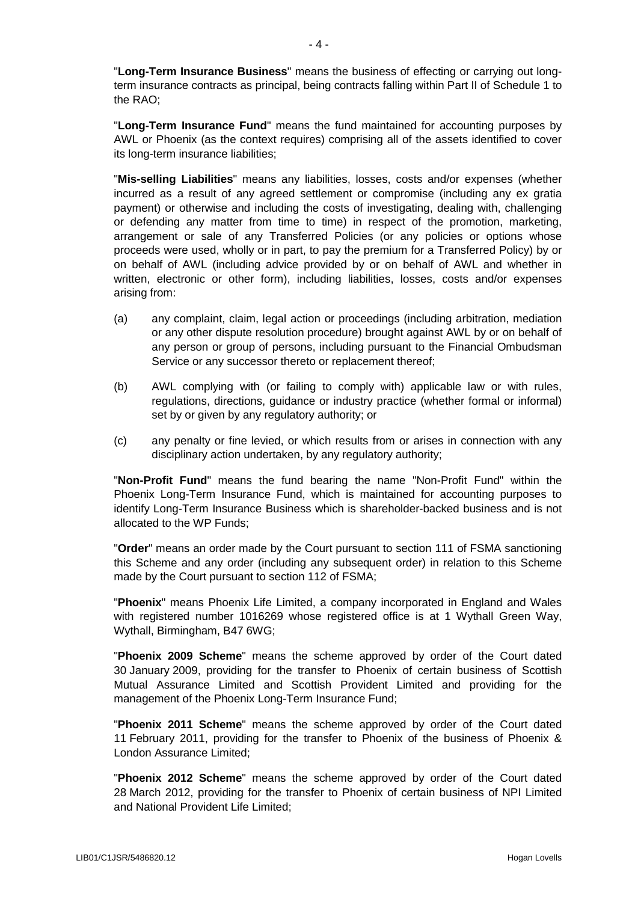"**Long-Term Insurance Business**" means the business of effecting or carrying out longterm insurance contracts as principal, being contracts falling within Part II of Schedule 1 to the RAO;

"**Long-Term Insurance Fund**" means the fund maintained for accounting purposes by AWL or Phoenix (as the context requires) comprising all of the assets identified to cover its long-term insurance liabilities;

"**Mis-selling Liabilities**" means any liabilities, losses, costs and/or expenses (whether incurred as a result of any agreed settlement or compromise (including any ex gratia payment) or otherwise and including the costs of investigating, dealing with, challenging or defending any matter from time to time) in respect of the promotion, marketing, arrangement or sale of any Transferred Policies (or any policies or options whose proceeds were used, wholly or in part, to pay the premium for a Transferred Policy) by or on behalf of AWL (including advice provided by or on behalf of AWL and whether in written, electronic or other form), including liabilities, losses, costs and/or expenses arising from:

- (a) any complaint, claim, legal action or proceedings (including arbitration, mediation or any other dispute resolution procedure) brought against AWL by or on behalf of any person or group of persons, including pursuant to the Financial Ombudsman Service or any successor thereto or replacement thereof;
- (b) AWL complying with (or failing to comply with) applicable law or with rules, regulations, directions, guidance or industry practice (whether formal or informal) set by or given by any regulatory authority; or
- (c) any penalty or fine levied, or which results from or arises in connection with any disciplinary action undertaken, by any regulatory authority;

"**Non-Profit Fund**" means the fund bearing the name "Non-Profit Fund" within the Phoenix Long-Term Insurance Fund, which is maintained for accounting purposes to identify Long-Term Insurance Business which is shareholder-backed business and is not allocated to the WP Funds;

"**Order**" means an order made by the Court pursuant to section 111 of FSMA sanctioning this Scheme and any order (including any subsequent order) in relation to this Scheme made by the Court pursuant to section 112 of FSMA;

"**Phoenix**" means Phoenix Life Limited, a company incorporated in England and Wales with registered number 1016269 whose registered office is at 1 Wythall Green Way, Wythall, Birmingham, B47 6WG;

"**Phoenix 2009 Scheme**" means the scheme approved by order of the Court dated 30 January 2009, providing for the transfer to Phoenix of certain business of Scottish Mutual Assurance Limited and Scottish Provident Limited and providing for the management of the Phoenix Long-Term Insurance Fund;

"**Phoenix 2011 Scheme**" means the scheme approved by order of the Court dated 11 February 2011, providing for the transfer to Phoenix of the business of Phoenix & London Assurance Limited;

"**Phoenix 2012 Scheme**" means the scheme approved by order of the Court dated 28 March 2012, providing for the transfer to Phoenix of certain business of NPI Limited and National Provident Life Limited;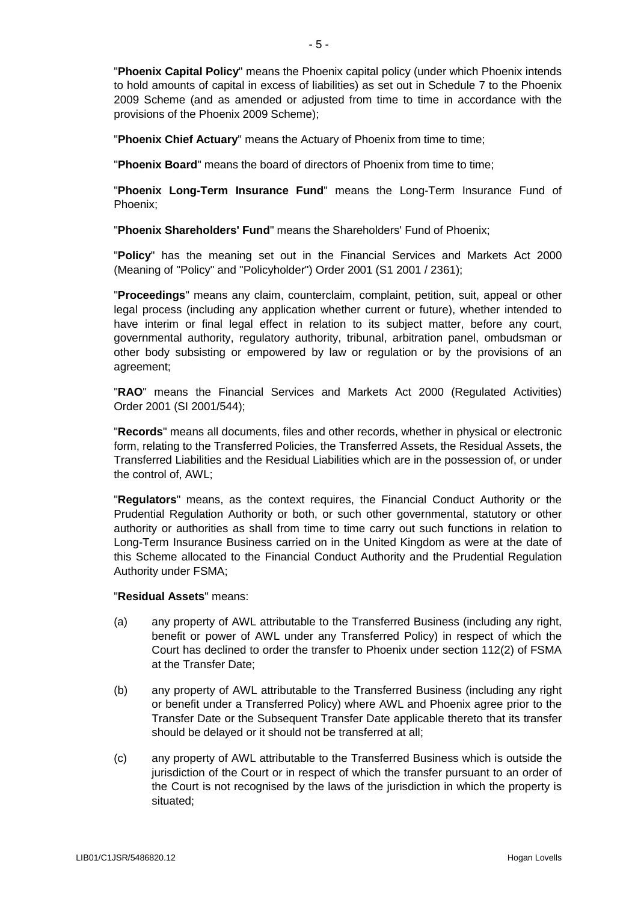"**Phoenix Capital Policy**" means the Phoenix capital policy (under which Phoenix intends to hold amounts of capital in excess of liabilities) as set out in Schedule 7 to the Phoenix 2009 Scheme (and as amended or adjusted from time to time in accordance with the provisions of the Phoenix 2009 Scheme);

"**Phoenix Chief Actuary**" means the Actuary of Phoenix from time to time;

"**Phoenix Board**" means the board of directors of Phoenix from time to time;

"**Phoenix Long-Term Insurance Fund**" means the Long-Term Insurance Fund of Phoenix;

"**Phoenix Shareholders' Fund**" means the Shareholders' Fund of Phoenix;

"**Policy**" has the meaning set out in the Financial Services and Markets Act 2000 (Meaning of "Policy" and "Policyholder") Order 2001 (S1 2001 / 2361);

"**Proceedings**" means any claim, counterclaim, complaint, petition, suit, appeal or other legal process (including any application whether current or future), whether intended to have interim or final legal effect in relation to its subject matter, before any court, governmental authority, regulatory authority, tribunal, arbitration panel, ombudsman or other body subsisting or empowered by law or regulation or by the provisions of an agreement;

"**RAO**" means the Financial Services and Markets Act 2000 (Regulated Activities) Order 2001 (SI 2001/544);

"**Records**" means all documents, files and other records, whether in physical or electronic form, relating to the Transferred Policies, the Transferred Assets, the Residual Assets, the Transferred Liabilities and the Residual Liabilities which are in the possession of, or under the control of, AWL;

"**Regulators**" means, as the context requires, the Financial Conduct Authority or the Prudential Regulation Authority or both, or such other governmental, statutory or other authority or authorities as shall from time to time carry out such functions in relation to Long-Term Insurance Business carried on in the United Kingdom as were at the date of this Scheme allocated to the Financial Conduct Authority and the Prudential Regulation Authority under FSMA;

# "**Residual Assets**" means:

- <span id="page-6-0"></span>(a) any property of AWL attributable to the Transferred Business (including any right, benefit or power of AWL under any Transferred Policy) in respect of which the Court has declined to order the transfer to Phoenix under section 112(2) of FSMA at the Transfer Date;
- <span id="page-6-2"></span>(b) any property of AWL attributable to the Transferred Business (including any right or benefit under a Transferred Policy) where AWL and Phoenix agree prior to the Transfer Date or the Subsequent Transfer Date applicable thereto that its transfer should be delayed or it should not be transferred at all;
- <span id="page-6-1"></span>(c) any property of AWL attributable to the Transferred Business which is outside the jurisdiction of the Court or in respect of which the transfer pursuant to an order of the Court is not recognised by the laws of the jurisdiction in which the property is situated;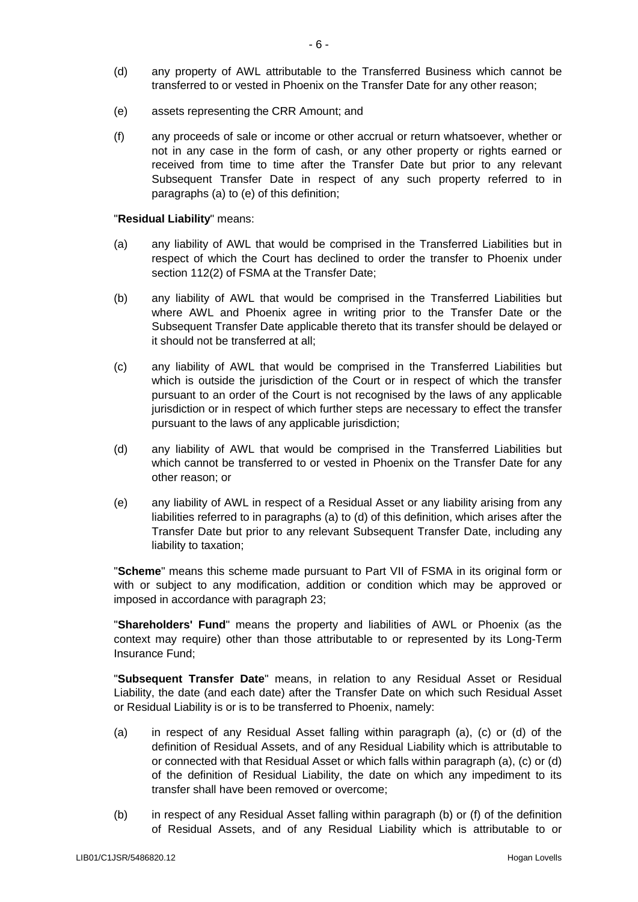- <span id="page-7-3"></span>(d) any property of AWL attributable to the Transferred Business which cannot be transferred to or vested in Phoenix on the Transfer Date for any other reason;
- <span id="page-7-0"></span>(e) assets representing the CRR Amount; and
- <span id="page-7-5"></span>(f) any proceeds of sale or income or other accrual or return whatsoever, whether or not in any case in the form of cash, or any other property or rights earned or received from time to time after the Transfer Date but prior to any relevant Subsequent Transfer Date in respect of any such property referred to in paragraphs [\(a\)](#page-6-0) to [\(e\)](#page-7-0) of this definition;

#### "**Residual Liability**" means:

- <span id="page-7-1"></span>(a) any liability of AWL that would be comprised in the Transferred Liabilities but in respect of which the Court has declined to order the transfer to Phoenix under section 112(2) of FSMA at the Transfer Date;
- <span id="page-7-6"></span>(b) any liability of AWL that would be comprised in the Transferred Liabilities but where AWL and Phoenix agree in writing prior to the Transfer Date or the Subsequent Transfer Date applicable thereto that its transfer should be delayed or it should not be transferred at all;
- <span id="page-7-4"></span>(c) any liability of AWL that would be comprised in the Transferred Liabilities but which is outside the jurisdiction of the Court or in respect of which the transfer pursuant to an order of the Court is not recognised by the laws of any applicable jurisdiction or in respect of which further steps are necessary to effect the transfer pursuant to the laws of any applicable jurisdiction;
- <span id="page-7-2"></span>(d) any liability of AWL that would be comprised in the Transferred Liabilities but which cannot be transferred to or vested in Phoenix on the Transfer Date for any other reason; or
- (e) any liability of AWL in respect of a Residual Asset or any liability arising from any liabilities referred to in paragraphs [\(a\)](#page-7-1) to [\(d\)](#page-7-2) of this definition, which arises after the Transfer Date but prior to any relevant Subsequent Transfer Date, including any liability to taxation;

"**Scheme**" means this scheme made pursuant to Part VII of FSMA in its original form or with or subject to any modification, addition or condition which may be approved or imposed in accordance with paragraph [23;](#page-24-0)

"**Shareholders' Fund**" means the property and liabilities of AWL or Phoenix (as the context may require) other than those attributable to or represented by its Long-Term Insurance Fund;

"**Subsequent Transfer Date**" means, in relation to any Residual Asset or Residual Liability, the date (and each date) after the Transfer Date on which such Residual Asset or Residual Liability is or is to be transferred to Phoenix, namely:

- (a) in respect of any Residual Asset falling within paragraph [\(a\),](#page-6-0) [\(c\)](#page-6-1) or [\(d\)](#page-7-3) of the definition of Residual Assets, and of any Residual Liability which is attributable to or connected with that Residual Asset or which falls within paragraph [\(a\),](#page-7-1) [\(c\)](#page-7-4) or [\(d\)](#page-7-2) of the definition of Residual Liability, the date on which any impediment to its transfer shall have been removed or overcome;
- (b) in respect of any Residual Asset falling within paragraph [\(b\)](#page-6-2) or [\(f\)](#page-7-5) of the definition of Residual Assets, and of any Residual Liability which is attributable to or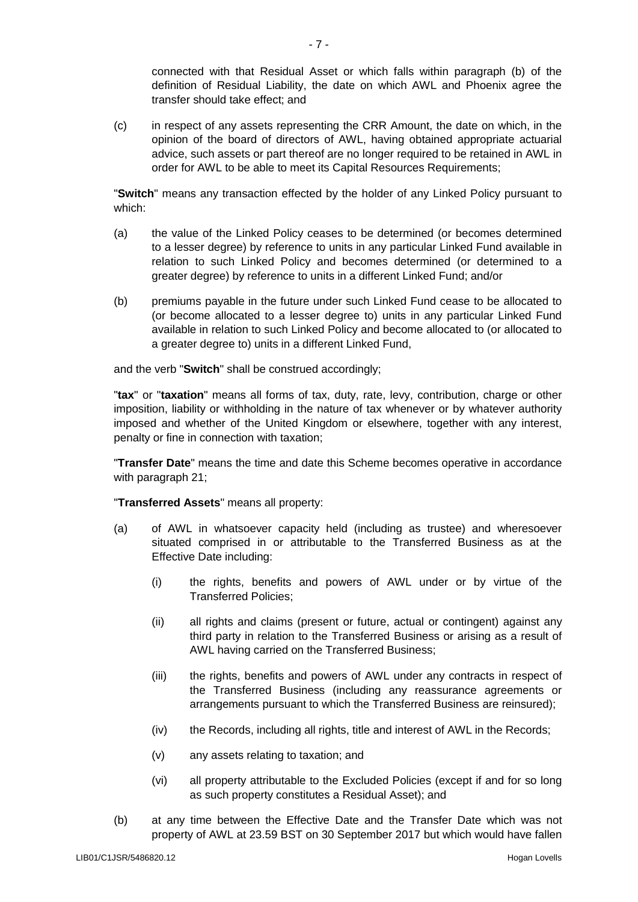connected with that Residual Asset or which falls within paragraph [\(b\)](#page-7-6) of the definition of Residual Liability, the date on which AWL and Phoenix agree the transfer should take effect; and

(c) in respect of any assets representing the CRR Amount, the date on which, in the opinion of the board of directors of AWL, having obtained appropriate actuarial advice, such assets or part thereof are no longer required to be retained in AWL in order for AWL to be able to meet its Capital Resources Requirements;

"**Switch**" means any transaction effected by the holder of any Linked Policy pursuant to which:

- (a) the value of the Linked Policy ceases to be determined (or becomes determined to a lesser degree) by reference to units in any particular Linked Fund available in relation to such Linked Policy and becomes determined (or determined to a greater degree) by reference to units in a different Linked Fund; and/or
- (b) premiums payable in the future under such Linked Fund cease to be allocated to (or become allocated to a lesser degree to) units in any particular Linked Fund available in relation to such Linked Policy and become allocated to (or allocated to a greater degree to) units in a different Linked Fund,

and the verb "**Switch**" shall be construed accordingly;

"**tax**" or "**taxation**" means all forms of tax, duty, rate, levy, contribution, charge or other imposition, liability or withholding in the nature of tax whenever or by whatever authority imposed and whether of the United Kingdom or elsewhere, together with any interest, penalty or fine in connection with taxation;

"**Transfer Date**" means the time and date this Scheme becomes operative in accordance with paragraph [21;](#page-24-1)

"**Transferred Assets**" means all property:

- (a) of AWL in whatsoever capacity held (including as trustee) and wheresoever situated comprised in or attributable to the Transferred Business as at the Effective Date including:
	- (i) the rights, benefits and powers of AWL under or by virtue of the Transferred Policies;
	- (ii) all rights and claims (present or future, actual or contingent) against any third party in relation to the Transferred Business or arising as a result of AWL having carried on the Transferred Business;
	- (iii) the rights, benefits and powers of AWL under any contracts in respect of the Transferred Business (including any reassurance agreements or arrangements pursuant to which the Transferred Business are reinsured);
	- (iv) the Records, including all rights, title and interest of AWL in the Records;
	- (v) any assets relating to taxation; and
	- (vi) all property attributable to the Excluded Policies (except if and for so long as such property constitutes a Residual Asset); and
- (b) at any time between the Effective Date and the Transfer Date which was not property of AWL at 23.59 BST on 30 September 2017 but which would have fallen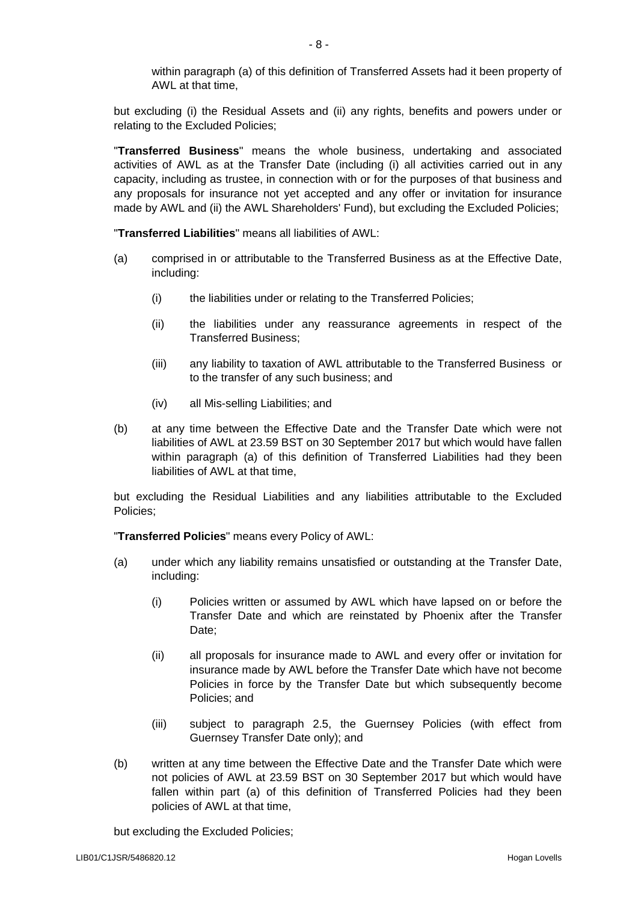within paragraph (a) of this definition of Transferred Assets had it been property of AWL at that time,

but excluding (i) the Residual Assets and (ii) any rights, benefits and powers under or relating to the Excluded Policies;

"**Transferred Business**" means the whole business, undertaking and associated activities of AWL as at the Transfer Date (including (i) all activities carried out in any capacity, including as trustee, in connection with or for the purposes of that business and any proposals for insurance not yet accepted and any offer or invitation for insurance made by AWL and (ii) the AWL Shareholders' Fund), but excluding the Excluded Policies;

"**Transferred Liabilities**" means all liabilities of AWL:

- (a) comprised in or attributable to the Transferred Business as at the Effective Date, including:
	- (i) the liabilities under or relating to the Transferred Policies;
	- (ii) the liabilities under any reassurance agreements in respect of the Transferred Business;
	- (iii) any liability to taxation of AWL attributable to the Transferred Business or to the transfer of any such business; and
	- (iv) all Mis-selling Liabilities; and
- (b) at any time between the Effective Date and the Transfer Date which were not liabilities of AWL at 23.59 BST on 30 September 2017 but which would have fallen within paragraph (a) of this definition of Transferred Liabilities had they been liabilities of AWL at that time,

but excluding the Residual Liabilities and any liabilities attributable to the Excluded Policies;

"**Transferred Policies**" means every Policy of AWL:

- (a) under which any liability remains unsatisfied or outstanding at the Transfer Date, including:
	- (i) Policies written or assumed by AWL which have lapsed on or before the Transfer Date and which are reinstated by Phoenix after the Transfer Date;
	- (ii) all proposals for insurance made to AWL and every offer or invitation for insurance made by AWL before the Transfer Date which have not become Policies in force by the Transfer Date but which subsequently become Policies; and
	- (iii) subject to paragraph [2.5,](#page-12-0) the Guernsey Policies (with effect from Guernsey Transfer Date only); and
- (b) written at any time between the Effective Date and the Transfer Date which were not policies of AWL at 23.59 BST on 30 September 2017 but which would have fallen within part (a) of this definition of Transferred Policies had they been policies of AWL at that time,

but excluding the Excluded Policies;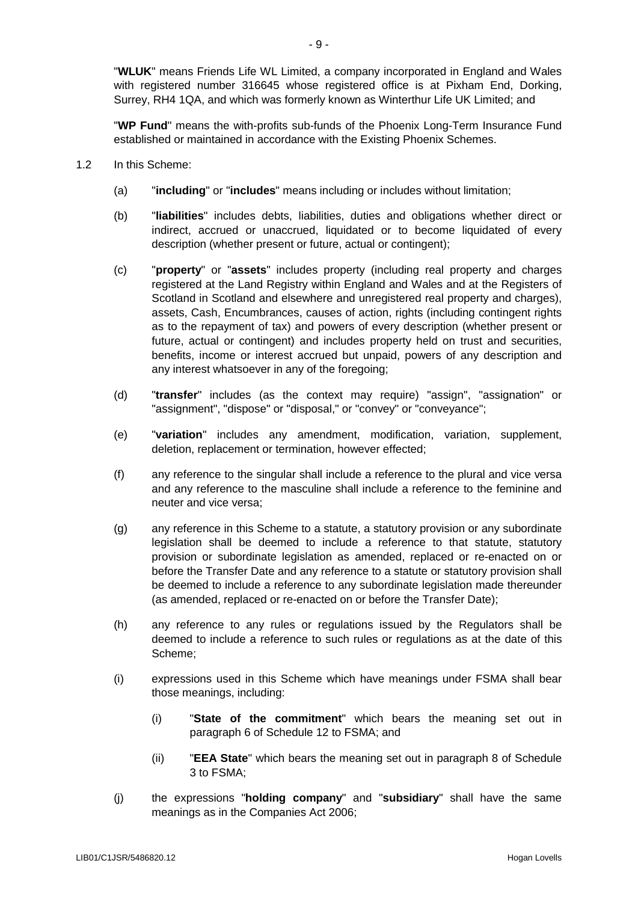"**WLUK**" means Friends Life WL Limited, a company incorporated in England and Wales with registered number 316645 whose registered office is at Pixham End, Dorking, Surrey, RH4 1QA, and which was formerly known as Winterthur Life UK Limited; and

"**WP Fund**" means the with-profits sub-funds of the Phoenix Long-Term Insurance Fund established or maintained in accordance with the Existing Phoenix Schemes.

- 1.2 In this Scheme:
	- (a) "**including**" or "**includes**" means including or includes without limitation;
	- (b) "**liabilities**" includes debts, liabilities, duties and obligations whether direct or indirect, accrued or unaccrued, liquidated or to become liquidated of every description (whether present or future, actual or contingent);
	- (c) "**property**" or "**assets**" includes property (including real property and charges registered at the Land Registry within England and Wales and at the Registers of Scotland in Scotland and elsewhere and unregistered real property and charges), assets, Cash, Encumbrances, causes of action, rights (including contingent rights as to the repayment of tax) and powers of every description (whether present or future, actual or contingent) and includes property held on trust and securities, benefits, income or interest accrued but unpaid, powers of any description and any interest whatsoever in any of the foregoing;
	- (d) "**transfer**" includes (as the context may require) "assign", "assignation" or "assignment", "dispose" or "disposal," or "convey" or "conveyance";
	- (e) "**variation**" includes any amendment, modification, variation, supplement, deletion, replacement or termination, however effected;
	- (f) any reference to the singular shall include a reference to the plural and vice versa and any reference to the masculine shall include a reference to the feminine and neuter and vice versa;
	- (g) any reference in this Scheme to a statute, a statutory provision or any subordinate legislation shall be deemed to include a reference to that statute, statutory provision or subordinate legislation as amended, replaced or re-enacted on or before the Transfer Date and any reference to a statute or statutory provision shall be deemed to include a reference to any subordinate legislation made thereunder (as amended, replaced or re-enacted on or before the Transfer Date);
	- (h) any reference to any rules or regulations issued by the Regulators shall be deemed to include a reference to such rules or regulations as at the date of this Scheme;
	- (i) expressions used in this Scheme which have meanings under FSMA shall bear those meanings, including:
		- (i) "**State of the commitment**" which bears the meaning set out in paragraph 6 of Schedule 12 to FSMA; and
		- (ii) "**EEA State**" which bears the meaning set out in paragraph 8 of Schedule 3 to FSMA;
	- (j) the expressions "**holding company**" and "**subsidiary**" shall have the same meanings as in the Companies Act 2006;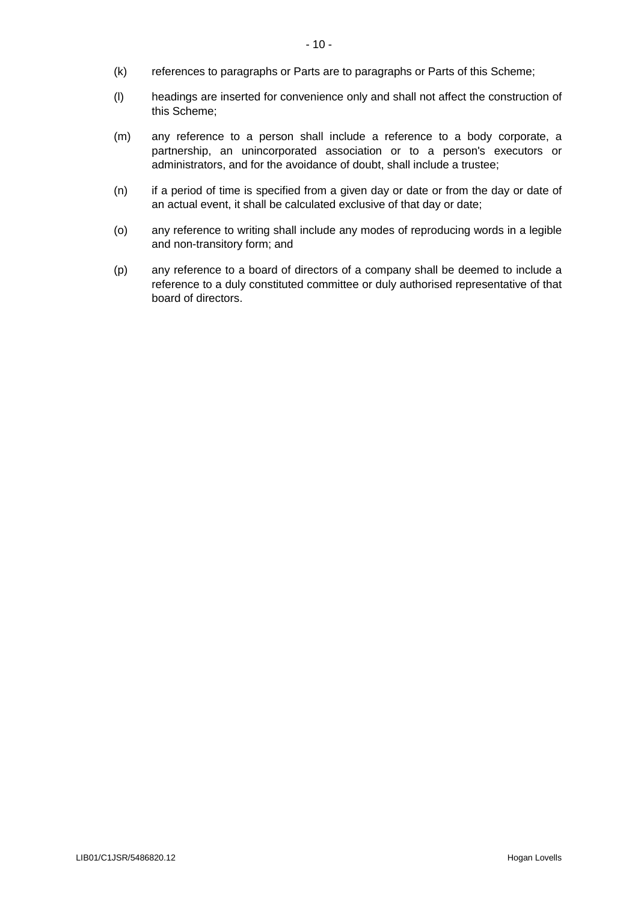- (k) references to paragraphs or Parts are to paragraphs or Parts of this Scheme;
- (l) headings are inserted for convenience only and shall not affect the construction of this Scheme;
- (m) any reference to a person shall include a reference to a body corporate, a partnership, an unincorporated association or to a person's executors or administrators, and for the avoidance of doubt, shall include a trustee;
- (n) if a period of time is specified from a given day or date or from the day or date of an actual event, it shall be calculated exclusive of that day or date;
- (o) any reference to writing shall include any modes of reproducing words in a legible and non-transitory form; and
- (p) any reference to a board of directors of a company shall be deemed to include a reference to a duly constituted committee or duly authorised representative of that board of directors.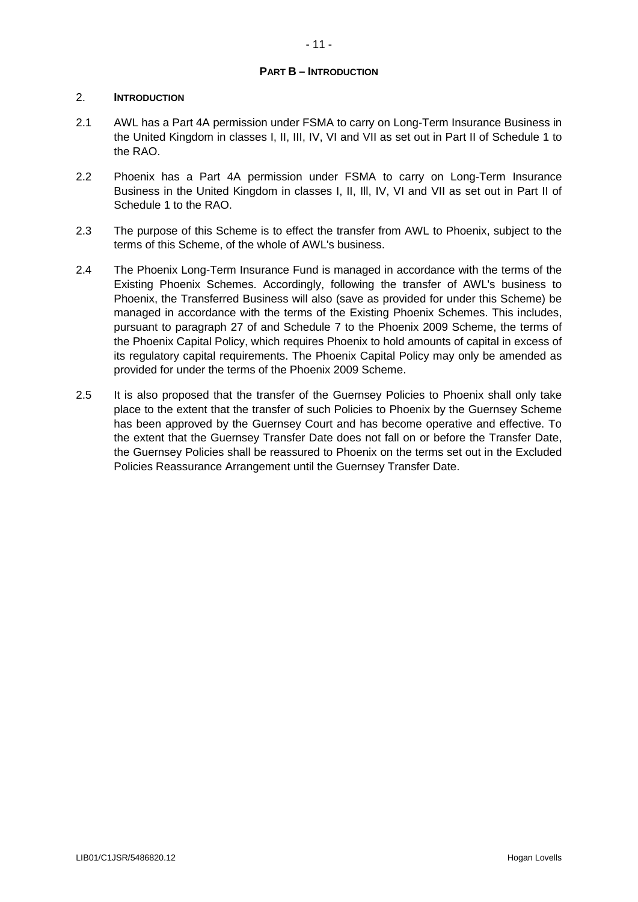# <span id="page-12-0"></span>**PART B – INTRODUCTION**

# 2. **INTRODUCTION**

- 2.1 AWL has a Part 4A permission under FSMA to carry on Long-Term Insurance Business in the United Kingdom in classes I, II, III, IV, VI and VII as set out in Part II of Schedule 1 to the RAO.
- 2.2 Phoenix has a Part 4A permission under FSMA to carry on Long-Term Insurance Business in the United Kingdom in classes I, II, Ill, IV, VI and VII as set out in Part II of Schedule 1 to the RAO.
- 2.3 The purpose of this Scheme is to effect the transfer from AWL to Phoenix, subject to the terms of this Scheme, of the whole of AWL's business.
- 2.4 The Phoenix Long-Term Insurance Fund is managed in accordance with the terms of the Existing Phoenix Schemes. Accordingly, following the transfer of AWL's business to Phoenix, the Transferred Business will also (save as provided for under this Scheme) be managed in accordance with the terms of the Existing Phoenix Schemes. This includes, pursuant to paragraph 27 of and Schedule 7 to the Phoenix 2009 Scheme, the terms of the Phoenix Capital Policy, which requires Phoenix to hold amounts of capital in excess of its regulatory capital requirements. The Phoenix Capital Policy may only be amended as provided for under the terms of the Phoenix 2009 Scheme.
- 2.5 It is also proposed that the transfer of the Guernsey Policies to Phoenix shall only take place to the extent that the transfer of such Policies to Phoenix by the Guernsey Scheme has been approved by the Guernsey Court and has become operative and effective. To the extent that the Guernsey Transfer Date does not fall on or before the Transfer Date, the Guernsey Policies shall be reassured to Phoenix on the terms set out in the Excluded Policies Reassurance Arrangement until the Guernsey Transfer Date.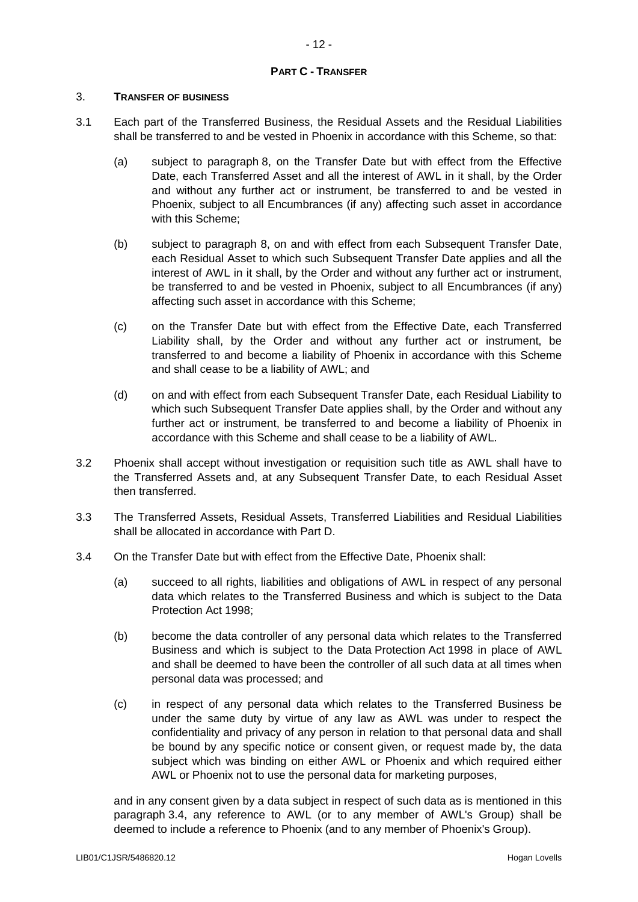# **PART C - TRANSFER**

## 3. **TRANSFER OF BUSINESS**

- 3.1 Each part of the Transferred Business, the Residual Assets and the Residual Liabilities shall be transferred to and be vested in Phoenix in accordance with this Scheme, so that:
	- (a) subject to paragraph [8,](#page-18-0) on the Transfer Date but with effect from the Effective Date, each Transferred Asset and all the interest of AWL in it shall, by the Order and without any further act or instrument, be transferred to and be vested in Phoenix, subject to all Encumbrances (if any) affecting such asset in accordance with this Scheme:
	- (b) subject to paragraph [8,](#page-18-0) on and with effect from each Subsequent Transfer Date, each Residual Asset to which such Subsequent Transfer Date applies and all the interest of AWL in it shall, by the Order and without any further act or instrument, be transferred to and be vested in Phoenix, subject to all Encumbrances (if any) affecting such asset in accordance with this Scheme;
	- (c) on the Transfer Date but with effect from the Effective Date, each Transferred Liability shall, by the Order and without any further act or instrument, be transferred to and become a liability of Phoenix in accordance with this Scheme and shall cease to be a liability of AWL; and
	- (d) on and with effect from each Subsequent Transfer Date, each Residual Liability to which such Subsequent Transfer Date applies shall, by the Order and without any further act or instrument, be transferred to and become a liability of Phoenix in accordance with this Scheme and shall cease to be a liability of AWL.
- 3.2 Phoenix shall accept without investigation or requisition such title as AWL shall have to the Transferred Assets and, at any Subsequent Transfer Date, to each Residual Asset then transferred.
- 3.3 The Transferred Assets, Residual Assets, Transferred Liabilities and Residual Liabilities shall be allocated in accordance with Part D.
- <span id="page-13-0"></span>3.4 On the Transfer Date but with effect from the Effective Date, Phoenix shall:
	- (a) succeed to all rights, liabilities and obligations of AWL in respect of any personal data which relates to the Transferred Business and which is subject to the Data Protection Act 1998;
	- (b) become the data controller of any personal data which relates to the Transferred Business and which is subject to the Data Protection Act 1998 in place of AWL and shall be deemed to have been the controller of all such data at all times when personal data was processed; and
	- (c) in respect of any personal data which relates to the Transferred Business be under the same duty by virtue of any law as AWL was under to respect the confidentiality and privacy of any person in relation to that personal data and shall be bound by any specific notice or consent given, or request made by, the data subject which was binding on either AWL or Phoenix and which required either AWL or Phoenix not to use the personal data for marketing purposes,

and in any consent given by a data subject in respect of such data as is mentioned in this paragraph [3.4,](#page-13-0) any reference to AWL (or to any member of AWL's Group) shall be deemed to include a reference to Phoenix (and to any member of Phoenix's Group).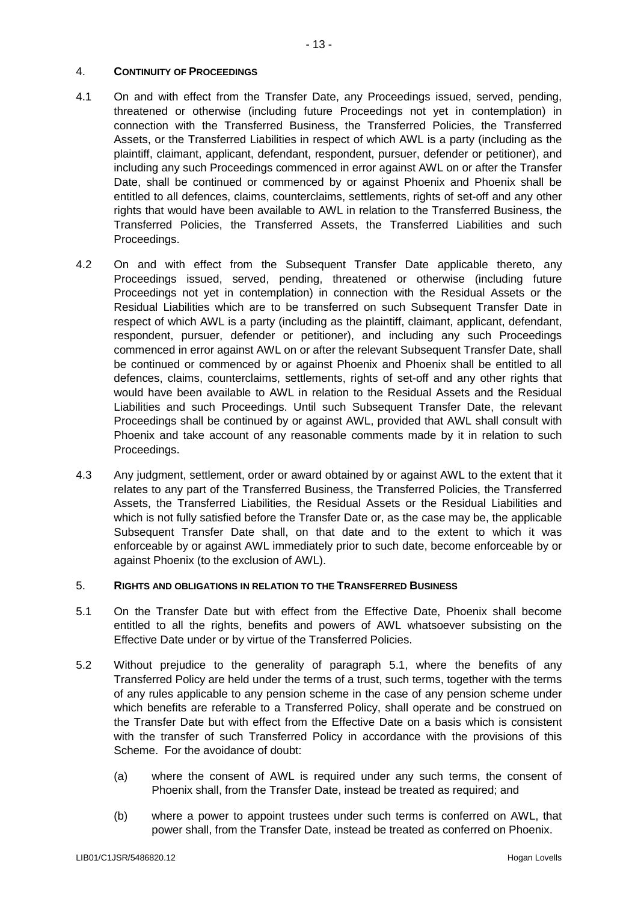# 4. **CONTINUITY OF PROCEEDINGS**

- 4.1 On and with effect from the Transfer Date, any Proceedings issued, served, pending, threatened or otherwise (including future Proceedings not yet in contemplation) in connection with the Transferred Business, the Transferred Policies, the Transferred Assets, or the Transferred Liabilities in respect of which AWL is a party (including as the plaintiff, claimant, applicant, defendant, respondent, pursuer, defender or petitioner), and including any such Proceedings commenced in error against AWL on or after the Transfer Date, shall be continued or commenced by or against Phoenix and Phoenix shall be entitled to all defences, claims, counterclaims, settlements, rights of set-off and any other rights that would have been available to AWL in relation to the Transferred Business, the Transferred Policies, the Transferred Assets, the Transferred Liabilities and such Proceedings.
- 4.2 On and with effect from the Subsequent Transfer Date applicable thereto, any Proceedings issued, served, pending, threatened or otherwise (including future Proceedings not yet in contemplation) in connection with the Residual Assets or the Residual Liabilities which are to be transferred on such Subsequent Transfer Date in respect of which AWL is a party (including as the plaintiff, claimant, applicant, defendant, respondent, pursuer, defender or petitioner), and including any such Proceedings commenced in error against AWL on or after the relevant Subsequent Transfer Date, shall be continued or commenced by or against Phoenix and Phoenix shall be entitled to all defences, claims, counterclaims, settlements, rights of set-off and any other rights that would have been available to AWL in relation to the Residual Assets and the Residual Liabilities and such Proceedings. Until such Subsequent Transfer Date, the relevant Proceedings shall be continued by or against AWL, provided that AWL shall consult with Phoenix and take account of any reasonable comments made by it in relation to such Proceedings.
- 4.3 Any judgment, settlement, order or award obtained by or against AWL to the extent that it relates to any part of the Transferred Business, the Transferred Policies, the Transferred Assets, the Transferred Liabilities, the Residual Assets or the Residual Liabilities and which is not fully satisfied before the Transfer Date or, as the case may be, the applicable Subsequent Transfer Date shall, on that date and to the extent to which it was enforceable by or against AWL immediately prior to such date, become enforceable by or against Phoenix (to the exclusion of AWL).

# 5. **RIGHTS AND OBLIGATIONS IN RELATION TO THE TRANSFERRED BUSINESS**

- <span id="page-14-0"></span>5.1 On the Transfer Date but with effect from the Effective Date, Phoenix shall become entitled to all the rights, benefits and powers of AWL whatsoever subsisting on the Effective Date under or by virtue of the Transferred Policies.
- 5.2 Without prejudice to the generality of paragraph [5.1,](#page-14-0) where the benefits of any Transferred Policy are held under the terms of a trust, such terms, together with the terms of any rules applicable to any pension scheme in the case of any pension scheme under which benefits are referable to a Transferred Policy, shall operate and be construed on the Transfer Date but with effect from the Effective Date on a basis which is consistent with the transfer of such Transferred Policy in accordance with the provisions of this Scheme. For the avoidance of doubt:
	- (a) where the consent of AWL is required under any such terms, the consent of Phoenix shall, from the Transfer Date, instead be treated as required; and
	- (b) where a power to appoint trustees under such terms is conferred on AWL, that power shall, from the Transfer Date, instead be treated as conferred on Phoenix.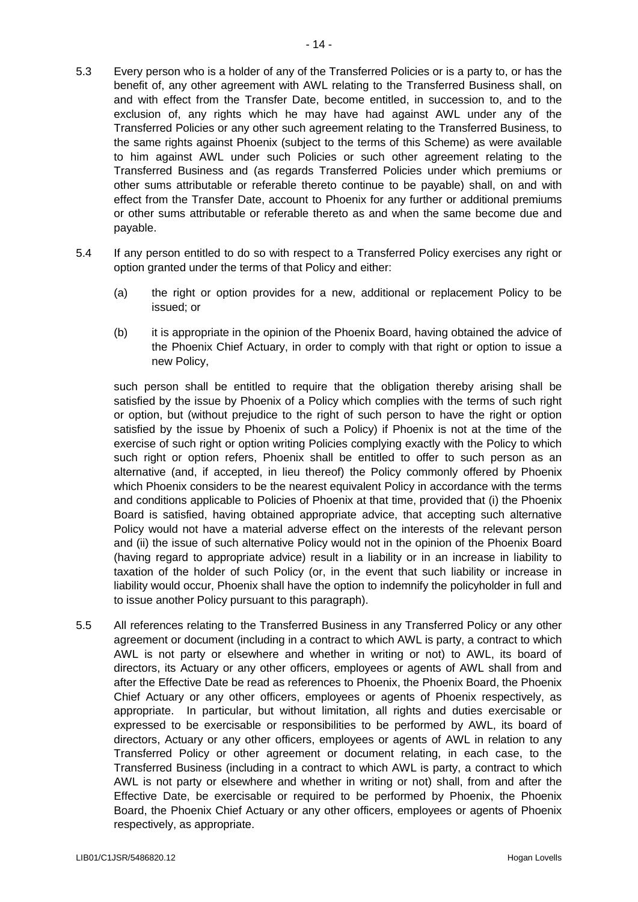- 5.3 Every person who is a holder of any of the Transferred Policies or is a party to, or has the benefit of, any other agreement with AWL relating to the Transferred Business shall, on and with effect from the Transfer Date, become entitled, in succession to, and to the exclusion of, any rights which he may have had against AWL under any of the Transferred Policies or any other such agreement relating to the Transferred Business, to the same rights against Phoenix (subject to the terms of this Scheme) as were available to him against AWL under such Policies or such other agreement relating to the Transferred Business and (as regards Transferred Policies under which premiums or other sums attributable or referable thereto continue to be payable) shall, on and with effect from the Transfer Date, account to Phoenix for any further or additional premiums or other sums attributable or referable thereto as and when the same become due and payable.
- 5.4 If any person entitled to do so with respect to a Transferred Policy exercises any right or option granted under the terms of that Policy and either:
	- (a) the right or option provides for a new, additional or replacement Policy to be issued; or
	- (b) it is appropriate in the opinion of the Phoenix Board, having obtained the advice of the Phoenix Chief Actuary, in order to comply with that right or option to issue a new Policy,

such person shall be entitled to require that the obligation thereby arising shall be satisfied by the issue by Phoenix of a Policy which complies with the terms of such right or option, but (without prejudice to the right of such person to have the right or option satisfied by the issue by Phoenix of such a Policy) if Phoenix is not at the time of the exercise of such right or option writing Policies complying exactly with the Policy to which such right or option refers, Phoenix shall be entitled to offer to such person as an alternative (and, if accepted, in lieu thereof) the Policy commonly offered by Phoenix which Phoenix considers to be the nearest equivalent Policy in accordance with the terms and conditions applicable to Policies of Phoenix at that time, provided that (i) the Phoenix Board is satisfied, having obtained appropriate advice, that accepting such alternative Policy would not have a material adverse effect on the interests of the relevant person and (ii) the issue of such alternative Policy would not in the opinion of the Phoenix Board (having regard to appropriate advice) result in a liability or in an increase in liability to taxation of the holder of such Policy (or, in the event that such liability or increase in liability would occur, Phoenix shall have the option to indemnify the policyholder in full and to issue another Policy pursuant to this paragraph).

5.5 All references relating to the Transferred Business in any Transferred Policy or any other agreement or document (including in a contract to which AWL is party, a contract to which AWL is not party or elsewhere and whether in writing or not) to AWL, its board of directors, its Actuary or any other officers, employees or agents of AWL shall from and after the Effective Date be read as references to Phoenix, the Phoenix Board, the Phoenix Chief Actuary or any other officers, employees or agents of Phoenix respectively, as appropriate. In particular, but without limitation, all rights and duties exercisable or expressed to be exercisable or responsibilities to be performed by AWL, its board of directors, Actuary or any other officers, employees or agents of AWL in relation to any Transferred Policy or other agreement or document relating, in each case, to the Transferred Business (including in a contract to which AWL is party, a contract to which AWL is not party or elsewhere and whether in writing or not) shall, from and after the Effective Date, be exercisable or required to be performed by Phoenix, the Phoenix Board, the Phoenix Chief Actuary or any other officers, employees or agents of Phoenix respectively, as appropriate.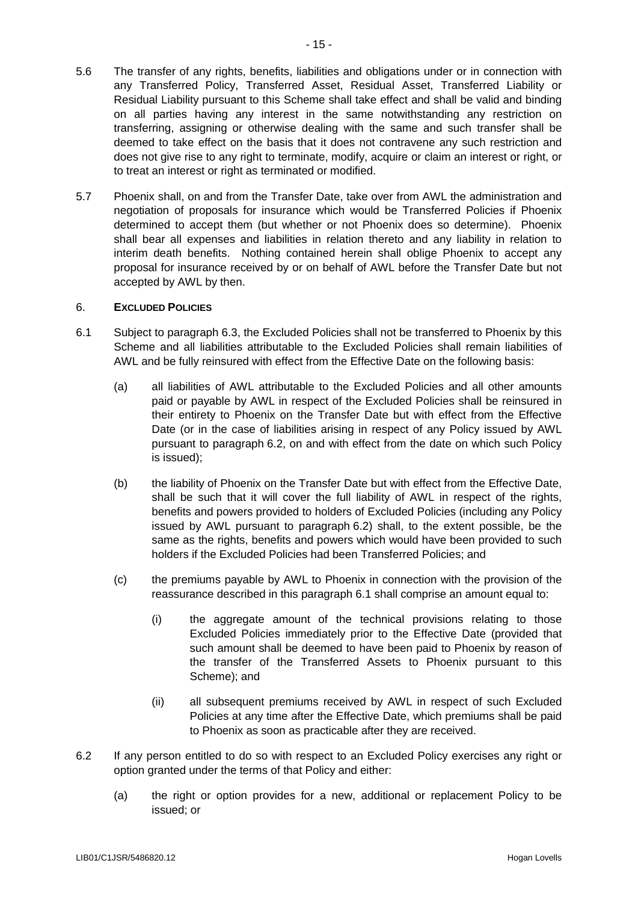- 5.6 The transfer of any rights, benefits, liabilities and obligations under or in connection with any Transferred Policy, Transferred Asset, Residual Asset, Transferred Liability or Residual Liability pursuant to this Scheme shall take effect and shall be valid and binding on all parties having any interest in the same notwithstanding any restriction on transferring, assigning or otherwise dealing with the same and such transfer shall be deemed to take effect on the basis that it does not contravene any such restriction and does not give rise to any right to terminate, modify, acquire or claim an interest or right, or to treat an interest or right as terminated or modified.
- 5.7 Phoenix shall, on and from the Transfer Date, take over from AWL the administration and negotiation of proposals for insurance which would be Transferred Policies if Phoenix determined to accept them (but whether or not Phoenix does so determine). Phoenix shall bear all expenses and liabilities in relation thereto and any liability in relation to interim death benefits. Nothing contained herein shall oblige Phoenix to accept any proposal for insurance received by or on behalf of AWL before the Transfer Date but not accepted by AWL by then.

# 6. **EXCLUDED POLICIES**

- <span id="page-16-0"></span>6.1 Subject to paragraph [6.3,](#page-17-0) the Excluded Policies shall not be transferred to Phoenix by this Scheme and all liabilities attributable to the Excluded Policies shall remain liabilities of AWL and be fully reinsured with effect from the Effective Date on the following basis:
	- (a) all liabilities of AWL attributable to the Excluded Policies and all other amounts paid or payable by AWL in respect of the Excluded Policies shall be reinsured in their entirety to Phoenix on the Transfer Date but with effect from the Effective Date (or in the case of liabilities arising in respect of any Policy issued by AWL pursuant to paragraph [6.2,](#page-16-1) on and with effect from the date on which such Policy is issued);
	- (b) the liability of Phoenix on the Transfer Date but with effect from the Effective Date, shall be such that it will cover the full liability of AWL in respect of the rights, benefits and powers provided to holders of Excluded Policies (including any Policy issued by AWL pursuant to paragraph [6.2\)](#page-16-1) shall, to the extent possible, be the same as the rights, benefits and powers which would have been provided to such holders if the Excluded Policies had been Transferred Policies; and
	- (c) the premiums payable by AWL to Phoenix in connection with the provision of the reassurance described in this paragraph [6.1](#page-16-0) shall comprise an amount equal to:
		- (i) the aggregate amount of the technical provisions relating to those Excluded Policies immediately prior to the Effective Date (provided that such amount shall be deemed to have been paid to Phoenix by reason of the transfer of the Transferred Assets to Phoenix pursuant to this Scheme); and
		- (ii) all subsequent premiums received by AWL in respect of such Excluded Policies at any time after the Effective Date, which premiums shall be paid to Phoenix as soon as practicable after they are received.
- <span id="page-16-1"></span>6.2 If any person entitled to do so with respect to an Excluded Policy exercises any right or option granted under the terms of that Policy and either:
	- (a) the right or option provides for a new, additional or replacement Policy to be issued; or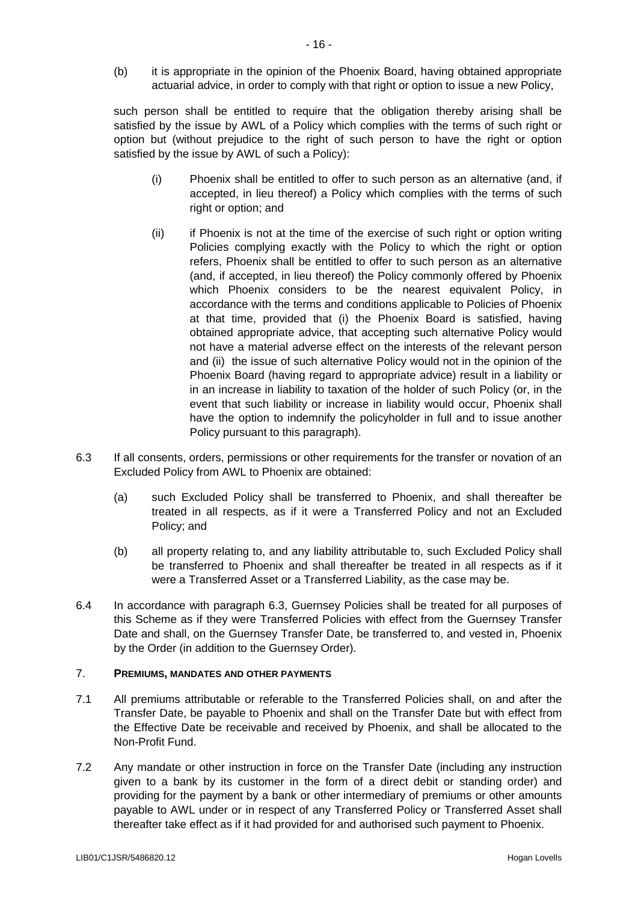(b) it is appropriate in the opinion of the Phoenix Board, having obtained appropriate actuarial advice, in order to comply with that right or option to issue a new Policy,

such person shall be entitled to require that the obligation thereby arising shall be satisfied by the issue by AWL of a Policy which complies with the terms of such right or option but (without prejudice to the right of such person to have the right or option satisfied by the issue by AWL of such a Policy):

- (i) Phoenix shall be entitled to offer to such person as an alternative (and, if accepted, in lieu thereof) a Policy which complies with the terms of such right or option; and
- (ii) if Phoenix is not at the time of the exercise of such right or option writing Policies complying exactly with the Policy to which the right or option refers, Phoenix shall be entitled to offer to such person as an alternative (and, if accepted, in lieu thereof) the Policy commonly offered by Phoenix which Phoenix considers to be the nearest equivalent Policy, in accordance with the terms and conditions applicable to Policies of Phoenix at that time, provided that (i) the Phoenix Board is satisfied, having obtained appropriate advice, that accepting such alternative Policy would not have a material adverse effect on the interests of the relevant person and (ii) the issue of such alternative Policy would not in the opinion of the Phoenix Board (having regard to appropriate advice) result in a liability or in an increase in liability to taxation of the holder of such Policy (or, in the event that such liability or increase in liability would occur, Phoenix shall have the option to indemnify the policyholder in full and to issue another Policy pursuant to this paragraph).
- <span id="page-17-0"></span>6.3 If all consents, orders, permissions or other requirements for the transfer or novation of an Excluded Policy from AWL to Phoenix are obtained:
	- (a) such Excluded Policy shall be transferred to Phoenix, and shall thereafter be treated in all respects, as if it were a Transferred Policy and not an Excluded Policy; and
	- (b) all property relating to, and any liability attributable to, such Excluded Policy shall be transferred to Phoenix and shall thereafter be treated in all respects as if it were a Transferred Asset or a Transferred Liability, as the case may be.
- 6.4 In accordance with paragraph [6.3,](#page-17-0) Guernsey Policies shall be treated for all purposes of this Scheme as if they were Transferred Policies with effect from the Guernsey Transfer Date and shall, on the Guernsey Transfer Date, be transferred to, and vested in, Phoenix by the Order (in addition to the Guernsey Order).

# 7. **PREMIUMS, MANDATES AND OTHER PAYMENTS**

- 7.1 All premiums attributable or referable to the Transferred Policies shall, on and after the Transfer Date, be payable to Phoenix and shall on the Transfer Date but with effect from the Effective Date be receivable and received by Phoenix, and shall be allocated to the Non-Profit Fund.
- 7.2 Any mandate or other instruction in force on the Transfer Date (including any instruction given to a bank by its customer in the form of a direct debit or standing order) and providing for the payment by a bank or other intermediary of premiums or other amounts payable to AWL under or in respect of any Transferred Policy or Transferred Asset shall thereafter take effect as if it had provided for and authorised such payment to Phoenix.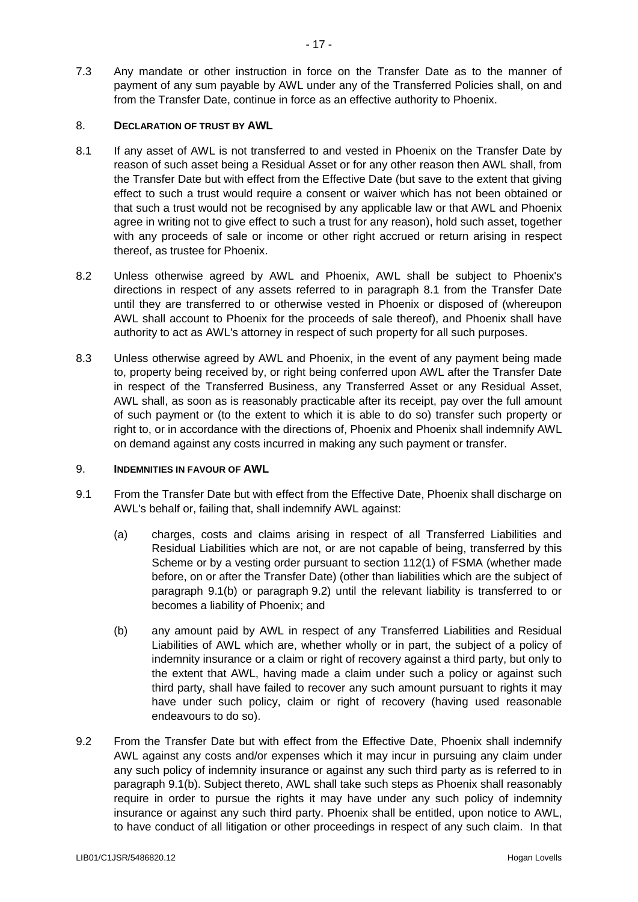7.3 Any mandate or other instruction in force on the Transfer Date as to the manner of payment of any sum payable by AWL under any of the Transferred Policies shall, on and from the Transfer Date, continue in force as an effective authority to Phoenix.

# <span id="page-18-0"></span>8. **DECLARATION OF TRUST BY AWL**

- <span id="page-18-1"></span>8.1 If any asset of AWL is not transferred to and vested in Phoenix on the Transfer Date by reason of such asset being a Residual Asset or for any other reason then AWL shall, from the Transfer Date but with effect from the Effective Date (but save to the extent that giving effect to such a trust would require a consent or waiver which has not been obtained or that such a trust would not be recognised by any applicable law or that AWL and Phoenix agree in writing not to give effect to such a trust for any reason), hold such asset, together with any proceeds of sale or income or other right accrued or return arising in respect thereof, as trustee for Phoenix.
- <span id="page-18-4"></span>8.2 Unless otherwise agreed by AWL and Phoenix, AWL shall be subject to Phoenix's directions in respect of any assets referred to in paragraph [8.1](#page-18-1) from the Transfer Date until they are transferred to or otherwise vested in Phoenix or disposed of (whereupon AWL shall account to Phoenix for the proceeds of sale thereof), and Phoenix shall have authority to act as AWL's attorney in respect of such property for all such purposes.
- 8.3 Unless otherwise agreed by AWL and Phoenix, in the event of any payment being made to, property being received by, or right being conferred upon AWL after the Transfer Date in respect of the Transferred Business, any Transferred Asset or any Residual Asset, AWL shall, as soon as is reasonably practicable after its receipt, pay over the full amount of such payment or (to the extent to which it is able to do so) transfer such property or right to, or in accordance with the directions of, Phoenix and Phoenix shall indemnify AWL on demand against any costs incurred in making any such payment or transfer.

# 9. **INDEMNITIES IN FAVOUR OF AWL**

- <span id="page-18-5"></span>9.1 From the Transfer Date but with effect from the Effective Date, Phoenix shall discharge on AWL's behalf or, failing that, shall indemnify AWL against:
	- (a) charges, costs and claims arising in respect of all Transferred Liabilities and Residual Liabilities which are not, or are not capable of being, transferred by this Scheme or by a vesting order pursuant to section 112(1) of FSMA (whether made before, on or after the Transfer Date) (other than liabilities which are the subject of paragraph [9.1\(b\)](#page-18-2) or paragraph [9.2\)](#page-18-3) until the relevant liability is transferred to or becomes a liability of Phoenix; and
	- (b) any amount paid by AWL in respect of any Transferred Liabilities and Residual Liabilities of AWL which are, whether wholly or in part, the subject of a policy of indemnity insurance or a claim or right of recovery against a third party, but only to the extent that AWL, having made a claim under such a policy or against such third party, shall have failed to recover any such amount pursuant to rights it may have under such policy, claim or right of recovery (having used reasonable endeavours to do so).
- <span id="page-18-3"></span><span id="page-18-2"></span>9.2 From the Transfer Date but with effect from the Effective Date, Phoenix shall indemnify AWL against any costs and/or expenses which it may incur in pursuing any claim under any such policy of indemnity insurance or against any such third party as is referred to in paragraph [9.1\(b\).](#page-18-2) Subject thereto, AWL shall take such steps as Phoenix shall reasonably require in order to pursue the rights it may have under any such policy of indemnity insurance or against any such third party. Phoenix shall be entitled, upon notice to AWL, to have conduct of all litigation or other proceedings in respect of any such claim. In that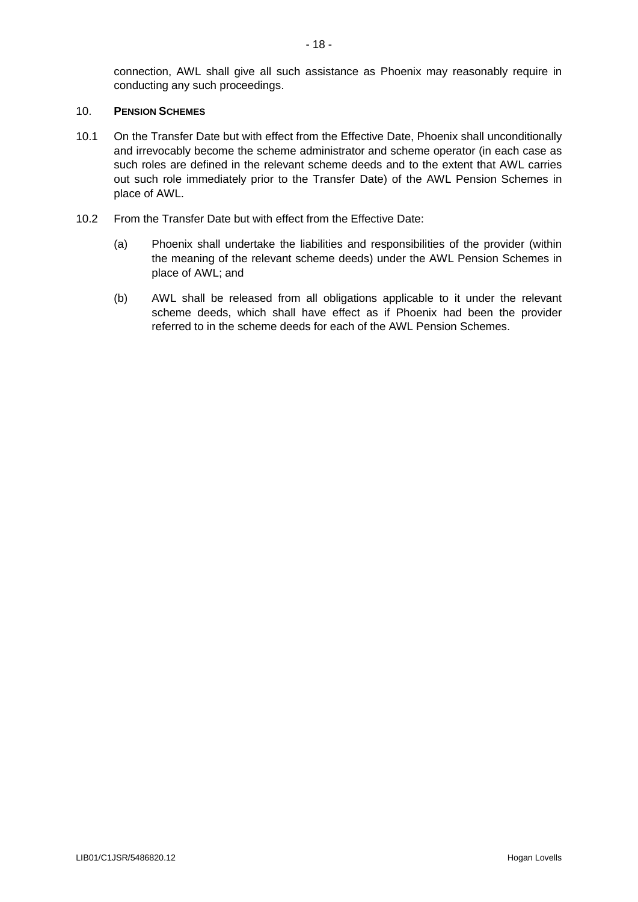connection, AWL shall give all such assistance as Phoenix may reasonably require in conducting any such proceedings.

#### 10. **PENSION SCHEMES**

- 10.1 On the Transfer Date but with effect from the Effective Date, Phoenix shall unconditionally and irrevocably become the scheme administrator and scheme operator (in each case as such roles are defined in the relevant scheme deeds and to the extent that AWL carries out such role immediately prior to the Transfer Date) of the AWL Pension Schemes in place of AWL.
- 10.2 From the Transfer Date but with effect from the Effective Date:
	- (a) Phoenix shall undertake the liabilities and responsibilities of the provider (within the meaning of the relevant scheme deeds) under the AWL Pension Schemes in place of AWL; and
	- (b) AWL shall be released from all obligations applicable to it under the relevant scheme deeds, which shall have effect as if Phoenix had been the provider referred to in the scheme deeds for each of the AWL Pension Schemes.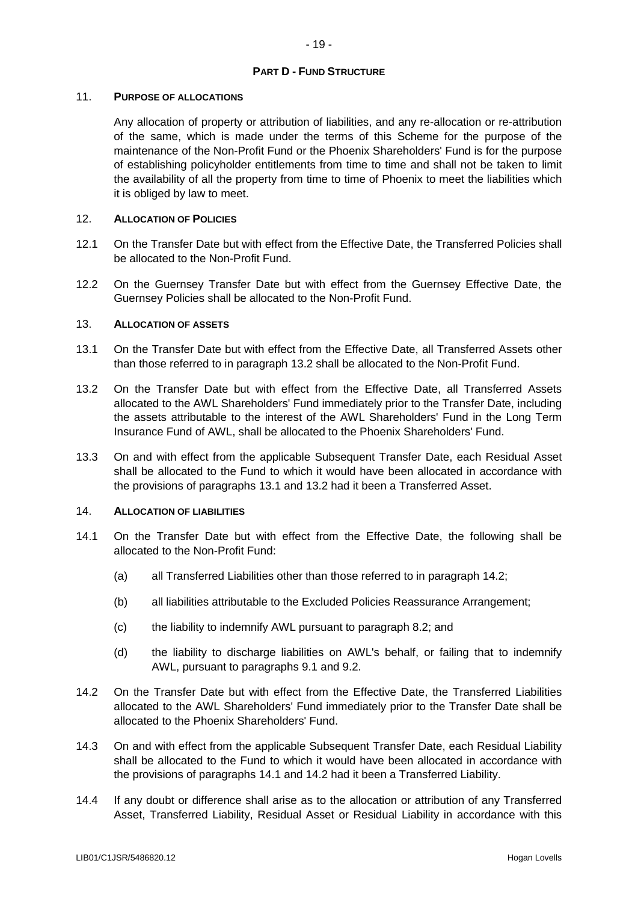# **PART D - FUND STRUCTURE**

## 11. **PURPOSE OF ALLOCATIONS**

Any allocation of property or attribution of liabilities, and any re-allocation or re-attribution of the same, which is made under the terms of this Scheme for the purpose of the maintenance of the Non-Profit Fund or the Phoenix Shareholders' Fund is for the purpose of establishing policyholder entitlements from time to time and shall not be taken to limit the availability of all the property from time to time of Phoenix to meet the liabilities which it is obliged by law to meet.

# 12. **ALLOCATION OF POLICIES**

- 12.1 On the Transfer Date but with effect from the Effective Date, the Transferred Policies shall be allocated to the Non-Profit Fund.
- 12.2 On the Guernsey Transfer Date but with effect from the Guernsey Effective Date, the Guernsey Policies shall be allocated to the Non-Profit Fund.

#### 13. **ALLOCATION OF ASSETS**

- <span id="page-20-1"></span>13.1 On the Transfer Date but with effect from the Effective Date, all Transferred Assets other than those referred to in paragraph [13.2](#page-20-0) shall be allocated to the Non-Profit Fund.
- <span id="page-20-0"></span>13.2 On the Transfer Date but with effect from the Effective Date, all Transferred Assets allocated to the AWL Shareholders' Fund immediately prior to the Transfer Date, including the assets attributable to the interest of the AWL Shareholders' Fund in the Long Term Insurance Fund of AWL, shall be allocated to the Phoenix Shareholders' Fund.
- 13.3 On and with effect from the applicable Subsequent Transfer Date, each Residual Asset shall be allocated to the Fund to which it would have been allocated in accordance with the provisions of paragraphs [13.1](#page-20-1) and [13.2](#page-20-0) had it been a Transferred Asset.

# 14. **ALLOCATION OF LIABILITIES**

- <span id="page-20-3"></span>14.1 On the Transfer Date but with effect from the Effective Date, the following shall be allocated to the Non-Profit Fund:
	- (a) all Transferred Liabilities other than those referred to in paragraph [14.2;](#page-20-2)
	- (b) all liabilities attributable to the Excluded Policies Reassurance Arrangement;
	- (c) the liability to indemnify AWL pursuant to paragraph [8.2;](#page-18-4) and
	- (d) the liability to discharge liabilities on AWL's behalf, or failing that to indemnify AWL, pursuant to paragraphs [9.1](#page-18-5) and [9.2.](#page-18-3)
- <span id="page-20-2"></span>14.2 On the Transfer Date but with effect from the Effective Date, the Transferred Liabilities allocated to the AWL Shareholders' Fund immediately prior to the Transfer Date shall be allocated to the Phoenix Shareholders' Fund.
- 14.3 On and with effect from the applicable Subsequent Transfer Date, each Residual Liability shall be allocated to the Fund to which it would have been allocated in accordance with the provisions of paragraphs [14.1](#page-20-3) and [14.2](#page-20-2) had it been a Transferred Liability.
- 14.4 If any doubt or difference shall arise as to the allocation or attribution of any Transferred Asset, Transferred Liability, Residual Asset or Residual Liability in accordance with this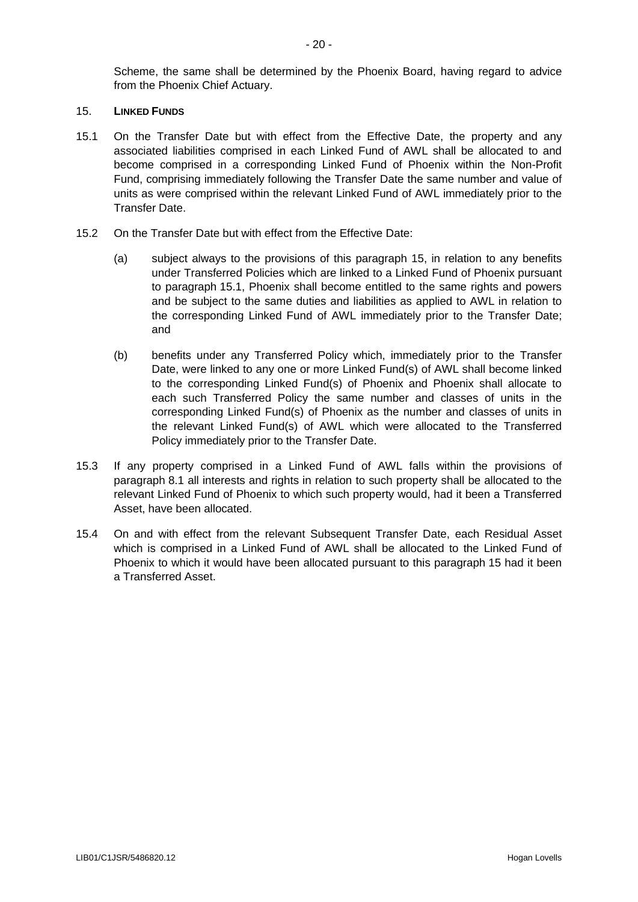Scheme, the same shall be determined by the Phoenix Board, having regard to advice from the Phoenix Chief Actuary.

### <span id="page-21-0"></span>15. **LINKED FUNDS**

- <span id="page-21-1"></span>15.1 On the Transfer Date but with effect from the Effective Date, the property and any associated liabilities comprised in each Linked Fund of AWL shall be allocated to and become comprised in a corresponding Linked Fund of Phoenix within the Non-Profit Fund, comprising immediately following the Transfer Date the same number and value of units as were comprised within the relevant Linked Fund of AWL immediately prior to the Transfer Date.
- 15.2 On the Transfer Date but with effect from the Effective Date:
	- (a) subject always to the provisions of this paragraph [15,](#page-21-0) in relation to any benefits under Transferred Policies which are linked to a Linked Fund of Phoenix pursuant to paragraph [15.1,](#page-21-1) Phoenix shall become entitled to the same rights and powers and be subject to the same duties and liabilities as applied to AWL in relation to the corresponding Linked Fund of AWL immediately prior to the Transfer Date; and
	- (b) benefits under any Transferred Policy which, immediately prior to the Transfer Date, were linked to any one or more Linked Fund(s) of AWL shall become linked to the corresponding Linked Fund(s) of Phoenix and Phoenix shall allocate to each such Transferred Policy the same number and classes of units in the corresponding Linked Fund(s) of Phoenix as the number and classes of units in the relevant Linked Fund(s) of AWL which were allocated to the Transferred Policy immediately prior to the Transfer Date.
- 15.3 If any property comprised in a Linked Fund of AWL falls within the provisions of paragraph [8.1](#page-18-1) all interests and rights in relation to such property shall be allocated to the relevant Linked Fund of Phoenix to which such property would, had it been a Transferred Asset, have been allocated.
- 15.4 On and with effect from the relevant Subsequent Transfer Date, each Residual Asset which is comprised in a Linked Fund of AWL shall be allocated to the Linked Fund of Phoenix to which it would have been allocated pursuant to this paragraph [15](#page-21-0) had it been a Transferred Asset.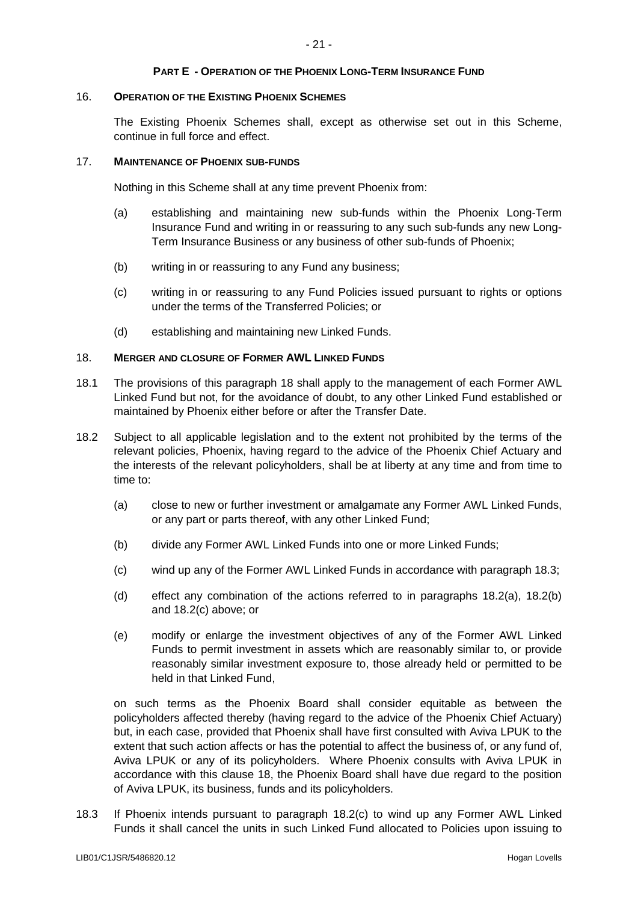## **PART E - OPERATION OF THE PHOENIX LONG-TERM INSURANCE FUND**

#### 16. **OPERATION OF THE EXISTING PHOENIX SCHEMES**

The Existing Phoenix Schemes shall, except as otherwise set out in this Scheme, continue in full force and effect.

## 17. **MAINTENANCE OF PHOENIX SUB-FUNDS**

Nothing in this Scheme shall at any time prevent Phoenix from:

- (a) establishing and maintaining new sub-funds within the Phoenix Long-Term Insurance Fund and writing in or reassuring to any such sub-funds any new Long-Term Insurance Business or any business of other sub-funds of Phoenix;
- (b) writing in or reassuring to any Fund any business;
- (c) writing in or reassuring to any Fund Policies issued pursuant to rights or options under the terms of the Transferred Policies; or
- (d) establishing and maintaining new Linked Funds.

### <span id="page-22-1"></span>18. **MERGER AND CLOSURE OF FORMER AWL LINKED FUNDS**

- 18.1 The provisions of this paragraph [18](#page-22-1) shall apply to the management of each Former AWL Linked Fund but not, for the avoidance of doubt, to any other Linked Fund established or maintained by Phoenix either before or after the Transfer Date.
- <span id="page-22-5"></span><span id="page-22-4"></span><span id="page-22-3"></span><span id="page-22-0"></span>18.2 Subject to all applicable legislation and to the extent not prohibited by the terms of the relevant policies, Phoenix, having regard to the advice of the Phoenix Chief Actuary and the interests of the relevant policyholders, shall be at liberty at any time and from time to time to:
	- (a) close to new or further investment or amalgamate any Former AWL Linked Funds, or any part or parts thereof, with any other Linked Fund;
	- (b) divide any Former AWL Linked Funds into one or more Linked Funds;
	- (c) wind up any of the Former AWL Linked Funds in accordance with paragraph [18.3;](#page-22-2)
	- (d) effect any combination of the actions referred to in paragraphs [18.2\(a\),](#page-22-3) [18.2\(b\)](#page-22-4) and [18.2\(c\)](#page-22-5) above; or
	- (e) modify or enlarge the investment objectives of any of the Former AWL Linked Funds to permit investment in assets which are reasonably similar to, or provide reasonably similar investment exposure to, those already held or permitted to be held in that Linked Fund,

on such terms as the Phoenix Board shall consider equitable as between the policyholders affected thereby (having regard to the advice of the Phoenix Chief Actuary) but, in each case, provided that Phoenix shall have first consulted with Aviva LPUK to the extent that such action affects or has the potential to affect the business of, or any fund of, Aviva LPUK or any of its policyholders. Where Phoenix consults with Aviva LPUK in accordance with this clause [18,](#page-22-1) the Phoenix Board shall have due regard to the position of Aviva LPUK, its business, funds and its policyholders.

<span id="page-22-2"></span>18.3 If Phoenix intends pursuant to paragraph [18.2\(c\)](#page-22-5) to wind up any Former AWL Linked Funds it shall cancel the units in such Linked Fund allocated to Policies upon issuing to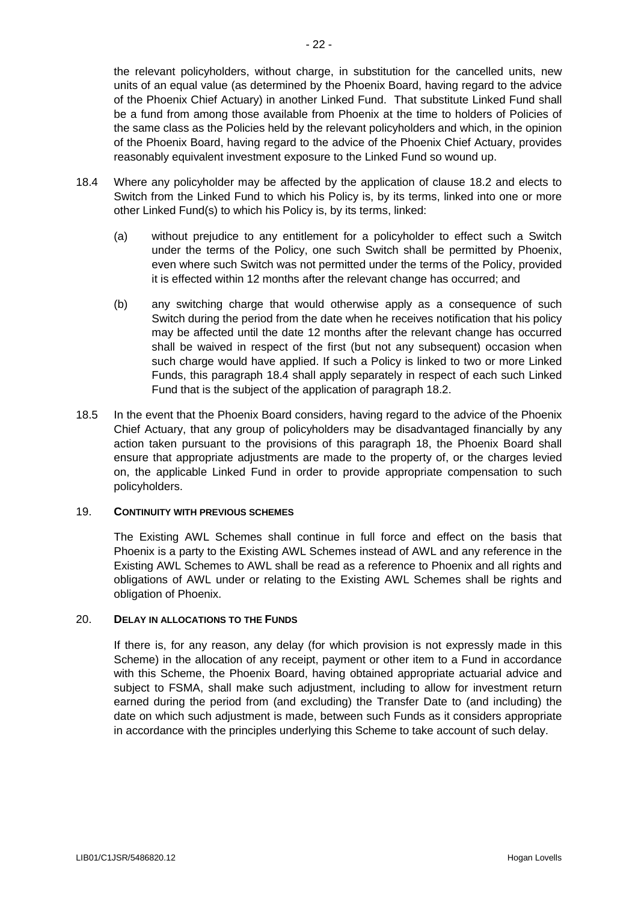the relevant policyholders, without charge, in substitution for the cancelled units, new units of an equal value (as determined by the Phoenix Board, having regard to the advice of the Phoenix Chief Actuary) in another Linked Fund. That substitute Linked Fund shall be a fund from among those available from Phoenix at the time to holders of Policies of the same class as the Policies held by the relevant policyholders and which, in the opinion of the Phoenix Board, having regard to the advice of the Phoenix Chief Actuary, provides reasonably equivalent investment exposure to the Linked Fund so wound up.

- <span id="page-23-0"></span>18.4 Where any policyholder may be affected by the application of clause [18.2](#page-22-0) and elects to Switch from the Linked Fund to which his Policy is, by its terms, linked into one or more other Linked Fund(s) to which his Policy is, by its terms, linked:
	- (a) without prejudice to any entitlement for a policyholder to effect such a Switch under the terms of the Policy, one such Switch shall be permitted by Phoenix, even where such Switch was not permitted under the terms of the Policy, provided it is effected within 12 months after the relevant change has occurred; and
	- (b) any switching charge that would otherwise apply as a consequence of such Switch during the period from the date when he receives notification that his policy may be affected until the date 12 months after the relevant change has occurred shall be waived in respect of the first (but not any subsequent) occasion when such charge would have applied. If such a Policy is linked to two or more Linked Funds, this paragraph [18.4](#page-23-0) shall apply separately in respect of each such Linked Fund that is the subject of the application of paragraph [18.2.](#page-22-0)
- 18.5 In the event that the Phoenix Board considers, having regard to the advice of the Phoenix Chief Actuary, that any group of policyholders may be disadvantaged financially by any action taken pursuant to the provisions of this paragraph [18,](#page-22-1) the Phoenix Board shall ensure that appropriate adjustments are made to the property of, or the charges levied on, the applicable Linked Fund in order to provide appropriate compensation to such policyholders.

# 19. **CONTINUITY WITH PREVIOUS SCHEMES**

The Existing AWL Schemes shall continue in full force and effect on the basis that Phoenix is a party to the Existing AWL Schemes instead of AWL and any reference in the Existing AWL Schemes to AWL shall be read as a reference to Phoenix and all rights and obligations of AWL under or relating to the Existing AWL Schemes shall be rights and obligation of Phoenix.

# 20. **DELAY IN ALLOCATIONS TO THE FUNDS**

If there is, for any reason, any delay (for which provision is not expressly made in this Scheme) in the allocation of any receipt, payment or other item to a Fund in accordance with this Scheme, the Phoenix Board, having obtained appropriate actuarial advice and subject to FSMA, shall make such adjustment, including to allow for investment return earned during the period from (and excluding) the Transfer Date to (and including) the date on which such adjustment is made, between such Funds as it considers appropriate in accordance with the principles underlying this Scheme to take account of such delay.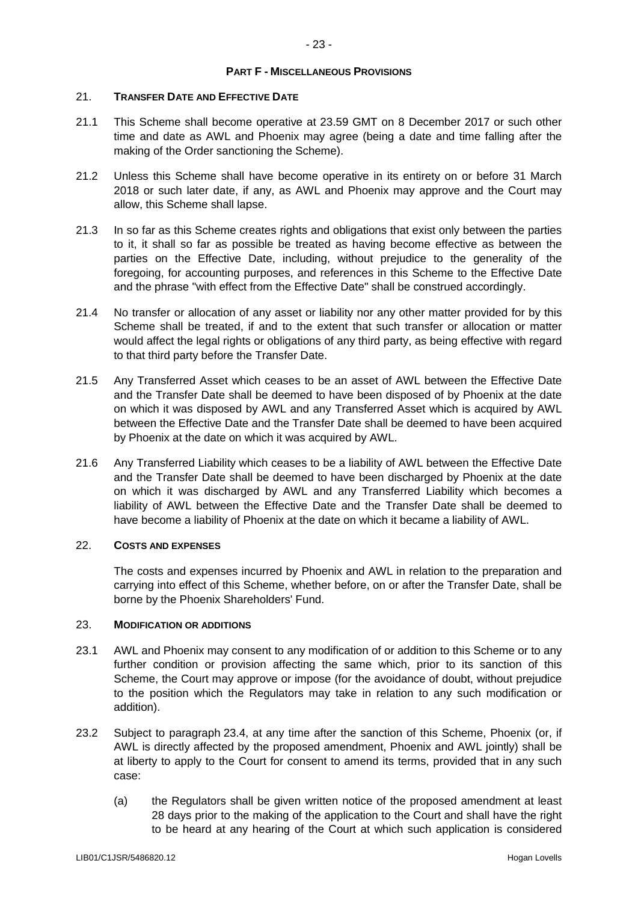## **PART F - MISCELLANEOUS PROVISIONS**

# <span id="page-24-1"></span>21. **TRANSFER DATE AND EFFECTIVE DATE**

- 21.1 This Scheme shall become operative at 23.59 GMT on 8 December 2017 or such other time and date as AWL and Phoenix may agree (being a date and time falling after the making of the Order sanctioning the Scheme).
- 21.2 Unless this Scheme shall have become operative in its entirety on or before 31 March 2018 or such later date, if any, as AWL and Phoenix may approve and the Court may allow, this Scheme shall lapse.
- 21.3 In so far as this Scheme creates rights and obligations that exist only between the parties to it, it shall so far as possible be treated as having become effective as between the parties on the Effective Date, including, without prejudice to the generality of the foregoing, for accounting purposes, and references in this Scheme to the Effective Date and the phrase "with effect from the Effective Date" shall be construed accordingly.
- 21.4 No transfer or allocation of any asset or liability nor any other matter provided for by this Scheme shall be treated, if and to the extent that such transfer or allocation or matter would affect the legal rights or obligations of any third party, as being effective with regard to that third party before the Transfer Date.
- 21.5 Any Transferred Asset which ceases to be an asset of AWL between the Effective Date and the Transfer Date shall be deemed to have been disposed of by Phoenix at the date on which it was disposed by AWL and any Transferred Asset which is acquired by AWL between the Effective Date and the Transfer Date shall be deemed to have been acquired by Phoenix at the date on which it was acquired by AWL.
- 21.6 Any Transferred Liability which ceases to be a liability of AWL between the Effective Date and the Transfer Date shall be deemed to have been discharged by Phoenix at the date on which it was discharged by AWL and any Transferred Liability which becomes a liability of AWL between the Effective Date and the Transfer Date shall be deemed to have become a liability of Phoenix at the date on which it became a liability of AWL.

# 22. **COSTS AND EXPENSES**

The costs and expenses incurred by Phoenix and AWL in relation to the preparation and carrying into effect of this Scheme, whether before, on or after the Transfer Date, shall be borne by the Phoenix Shareholders' Fund.

#### <span id="page-24-0"></span>23. **MODIFICATION OR ADDITIONS**

- 23.1 AWL and Phoenix may consent to any modification of or addition to this Scheme or to any further condition or provision affecting the same which, prior to its sanction of this Scheme, the Court may approve or impose (for the avoidance of doubt, without prejudice to the position which the Regulators may take in relation to any such modification or addition).
- 23.2 Subject to paragraph [23.4,](#page-25-0) at any time after the sanction of this Scheme, Phoenix (or, if AWL is directly affected by the proposed amendment, Phoenix and AWL jointly) shall be at liberty to apply to the Court for consent to amend its terms, provided that in any such case:
	- (a) the Regulators shall be given written notice of the proposed amendment at least 28 days prior to the making of the application to the Court and shall have the right to be heard at any hearing of the Court at which such application is considered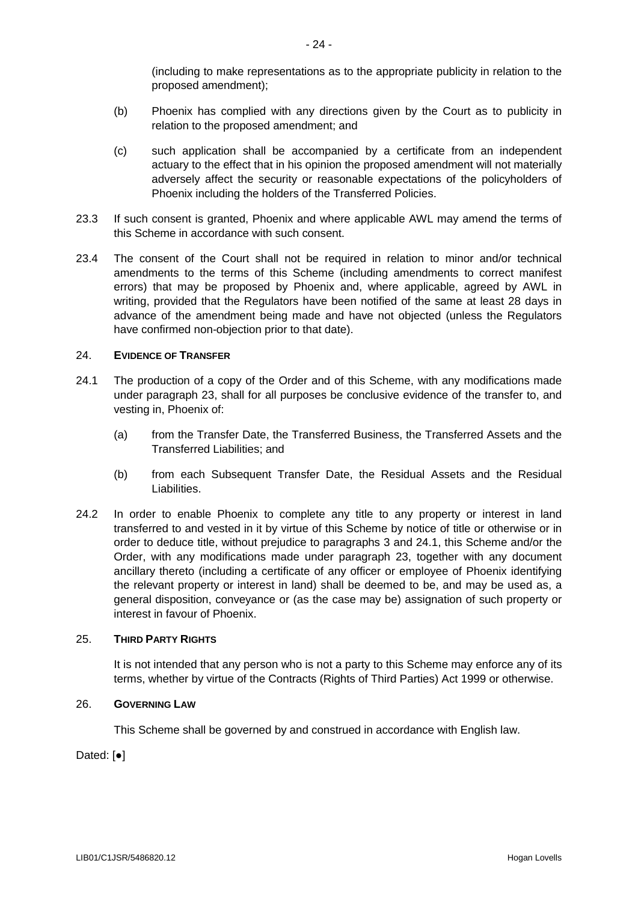(including to make representations as to the appropriate publicity in relation to the proposed amendment);

- (b) Phoenix has complied with any directions given by the Court as to publicity in relation to the proposed amendment; and
- (c) such application shall be accompanied by a certificate from an independent actuary to the effect that in his opinion the proposed amendment will not materially adversely affect the security or reasonable expectations of the policyholders of Phoenix including the holders of the Transferred Policies.
- 23.3 If such consent is granted, Phoenix and where applicable AWL may amend the terms of this Scheme in accordance with such consent.
- <span id="page-25-0"></span>23.4 The consent of the Court shall not be required in relation to minor and/or technical amendments to the terms of this Scheme (including amendments to correct manifest errors) that may be proposed by Phoenix and, where applicable, agreed by AWL in writing, provided that the Regulators have been notified of the same at least 28 days in advance of the amendment being made and have not objected (unless the Regulators have confirmed non-objection prior to that date).

## 24. **EVIDENCE OF TRANSFER**

- <span id="page-25-1"></span>24.1 The production of a copy of the Order and of this Scheme, with any modifications made under paragraph [23,](#page-24-0) shall for all purposes be conclusive evidence of the transfer to, and vesting in, Phoenix of:
	- (a) from the Transfer Date, the Transferred Business, the Transferred Assets and the Transferred Liabilities; and
	- (b) from each Subsequent Transfer Date, the Residual Assets and the Residual Liabilities.
- 24.2 In order to enable Phoenix to complete any title to any property or interest in land transferred to and vested in it by virtue of this Scheme by notice of title or otherwise or in order to deduce title, without prejudice to paragraphs 3 and [24.1,](#page-25-1) this Scheme and/or the Order, with any modifications made under paragraph [23,](#page-24-0) together with any document ancillary thereto (including a certificate of any officer or employee of Phoenix identifying the relevant property or interest in land) shall be deemed to be, and may be used as, a general disposition, conveyance or (as the case may be) assignation of such property or interest in favour of Phoenix.

# 25. **THIRD PARTY RIGHTS**

It is not intended that any person who is not a party to this Scheme may enforce any of its terms, whether by virtue of the Contracts (Rights of Third Parties) Act 1999 or otherwise.

#### 26. **GOVERNING LAW**

This Scheme shall be governed by and construed in accordance with English law.

Dated: [●]